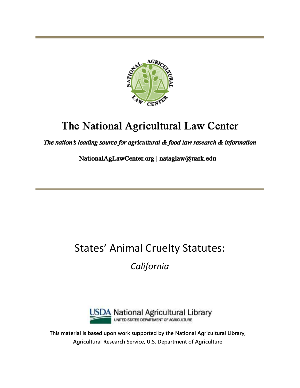

# The National Agricultural Law Center

The nation's leading source for agricultural & food law research & information

NationalAgLawCenter.org | nataglaw@uark.edu

# States' Animal Cruelty Statutes:

*California*



**This material is based upon work supported by the National Agricultural Library, Agricultural Research Service, U.S. Department of Agriculture**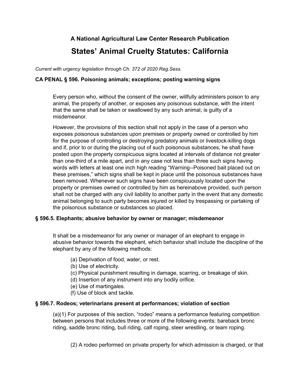# **A National Agricultural Law Center Research Publication States' Animal Cruelty Statutes: California**

*Current with urgency legislation through Ch. 372 of 2020 Reg.Sess.*

# **CA PENAL § 596. Poisoning animals; exceptions; posting warning signs**

Every person who, without the consent of the owner, willfully administers poison to any animal, the property of another, or exposes any poisonous substance, with the intent that the same shall be taken or swallowed by any such animal, is guilty of a misdemeanor.

However, the provisions of this section shall not apply in the case of a person who exposes poisonous substances upon premises or property owned or controlled by him for the purpose of controlling or destroying predatory animals or livestock-killing dogs and if, prior to or during the placing out of such poisonous substances, he shall have posted upon the property conspicuous signs located at intervals of distance not greater than one-third of a mile apart, and in any case not less than three such signs having words with letters at least one inch high reading "Warning--Poisoned bait placed out on these premises," which signs shall be kept in place until the poisonous substances have been removed. Whenever such signs have been conspicuously located upon the property or premises owned or controlled by him as hereinabove provided, such person shall not be charged with any civil liability to another party in the event that any domestic animal belonging to such party becomes injured or killed by trespassing or partaking of the poisonous substance or substances so placed.

# **§ 596.5. Elephants; abusive behavior by owner or manager; misdemeanor**

It shall be a misdemeanor for any owner or manager of an elephant to engage in abusive behavior towards the elephant, which behavior shall include the discipline of the elephant by any of the following methods:

- (a) Deprivation of food, water, or rest.
- (b) Use of electricity.
- (c) Physical punishment resulting in damage, scarring, or breakage of skin.
- (d) Insertion of any instrument into any bodily orifice.
- (e) Use of martingales.
- (f) Use of block and tackle.

#### **§ 596.7. Rodeos; veterinarians present at performances; violation of section**

(a)(1) For purposes of this section, "rodeo" means a performance featuring competition between persons that includes three or more of the following events: bareback bronc riding, saddle bronc riding, bull riding, calf roping, steer wrestling, or team roping.

(2) A rodeo performed on private property for which admission is charged, or that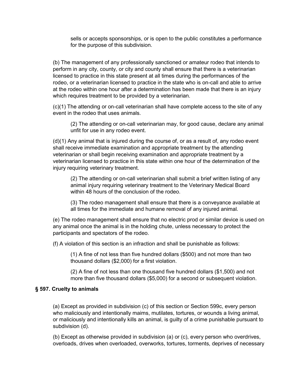sells or accepts sponsorships, or is open to the public constitutes a performance for the purpose of this subdivision.

(b) The management of any professionally sanctioned or amateur rodeo that intends to perform in any city, county, or city and county shall ensure that there is a veterinarian licensed to practice in this state present at all times during the performances of the rodeo, or a veterinarian licensed to practice in the state who is on-call and able to arrive at the rodeo within one hour after a determination has been made that there is an injury which requires treatment to be provided by a veterinarian.

(c)(1) The attending or on-call veterinarian shall have complete access to the site of any event in the rodeo that uses animals.

(2) The attending or on-call veterinarian may, for good cause, declare any animal unfit for use in any rodeo event.

(d)(1) Any animal that is injured during the course of, or as a result of, any rodeo event shall receive immediate examination and appropriate treatment by the attending veterinarian or shall begin receiving examination and appropriate treatment by a veterinarian licensed to practice in this state within one hour of the determination of the injury requiring veterinary treatment.

(2) The attending or on-call veterinarian shall submit a brief written listing of any animal injury requiring veterinary treatment to the Veterinary Medical Board within 48 hours of the conclusion of the rodeo.

(3) The rodeo management shall ensure that there is a conveyance available at all times for the immediate and humane removal of any injured animal.

(e) The rodeo management shall ensure that no electric prod or similar device is used on any animal once the animal is in the holding chute, unless necessary to protect the participants and spectators of the rodeo.

(f) A violation of this section is an infraction and shall be punishable as follows:

(1) A fine of not less than five hundred dollars (\$500) and not more than two thousand dollars (\$2,000) for a first violation.

(2) A fine of not less than one thousand five hundred dollars (\$1,500) and not more than five thousand dollars (\$5,000) for a second or subsequent violation.

#### **§ 597. Cruelty to animals**

(a) Except as provided in subdivision (c) of this section or Section 599c, every person who maliciously and intentionally maims, mutilates, tortures, or wounds a living animal, or maliciously and intentionally kills an animal, is guilty of a crime punishable pursuant to subdivision (d).

(b) Except as otherwise provided in subdivision (a) or (c), every person who overdrives, overloads, drives when overloaded, overworks, tortures, torments, deprives of necessary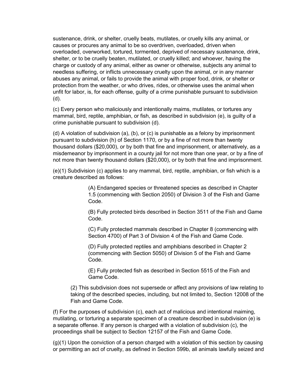sustenance, drink, or shelter, cruelly beats, mutilates, or cruelly kills any animal, or causes or procures any animal to be so overdriven, overloaded, driven when overloaded, overworked, tortured, tormented, deprived of necessary sustenance, drink, shelter, or to be cruelly beaten, mutilated, or cruelly killed; and whoever, having the charge or custody of any animal, either as owner or otherwise, subjects any animal to needless suffering, or inflicts unnecessary cruelty upon the animal, or in any manner abuses any animal, or fails to provide the animal with proper food, drink, or shelter or protection from the weather, or who drives, rides, or otherwise uses the animal when unfit for labor, is, for each offense, guilty of a crime punishable pursuant to subdivision (d).

(c) Every person who maliciously and intentionally maims, mutilates, or tortures any mammal, bird, reptile, amphibian, or fish, as described in subdivision (e), is guilty of a crime punishable pursuant to subdivision (d).

(d) A violation of subdivision (a), (b), or (c) is punishable as a felony by imprisonment pursuant to subdivision (h) of Section 1170, or by a fine of not more than twenty thousand dollars (\$20,000), or by both that fine and imprisonment, or alternatively, as a misdemeanor by imprisonment in a county jail for not more than one year, or by a fine of not more than twenty thousand dollars (\$20,000), or by both that fine and imprisonment.

(e)(1) Subdivision (c) applies to any mammal, bird, reptile, amphibian, or fish which is a creature described as follows:

> (A) Endangered species or threatened species as described in Chapter 1.5 (commencing with Section 2050) of Division 3 of the Fish and Game Code.

(B) Fully protected birds described in Section 3511 of the Fish and Game Code.

(C) Fully protected mammals described in Chapter 8 (commencing with Section 4700) of Part 3 of Division 4 of the Fish and Game Code.

(D) Fully protected reptiles and amphibians described in Chapter 2 (commencing with Section 5050) of Division 5 of the Fish and Game Code.

(E) Fully protected fish as described in Section 5515 of the Fish and Game Code.

(2) This subdivision does not supersede or affect any provisions of law relating to taking of the described species, including, but not limited to, Section 12008 of the Fish and Game Code.

(f) For the purposes of subdivision (c), each act of malicious and intentional maiming, mutilating, or torturing a separate specimen of a creature described in subdivision (e) is a separate offense. If any person is charged with a violation of subdivision (c), the proceedings shall be subject to Section 12157 of the Fish and Game Code.

(g)(1) Upon the conviction of a person charged with a violation of this section by causing or permitting an act of cruelty, as defined in Section 599b, all animals lawfully seized and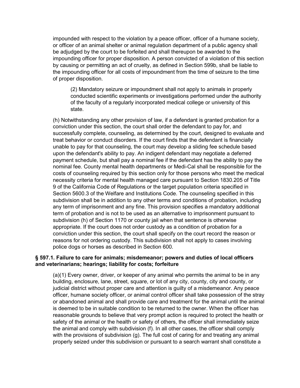impounded with respect to the violation by a peace officer, officer of a humane society, or officer of an animal shelter or animal regulation department of a public agency shall be adjudged by the court to be forfeited and shall thereupon be awarded to the impounding officer for proper disposition. A person convicted of a violation of this section by causing or permitting an act of cruelty, as defined in Section 599b, shall be liable to the impounding officer for all costs of impoundment from the time of seizure to the time of proper disposition.

(2) Mandatory seizure or impoundment shall not apply to animals in properly conducted scientific experiments or investigations performed under the authority of the faculty of a regularly incorporated medical college or university of this state.

(h) Notwithstanding any other provision of law, if a defendant is granted probation for a conviction under this section, the court shall order the defendant to pay for, and successfully complete, counseling, as determined by the court, designed to evaluate and treat behavior or conduct disorders. If the court finds that the defendant is financially unable to pay for that counseling, the court may develop a sliding fee schedule based upon the defendant's ability to pay. An indigent defendant may negotiate a deferred payment schedule, but shall pay a nominal fee if the defendant has the ability to pay the nominal fee. County mental health departments or Medi-Cal shall be responsible for the costs of counseling required by this section only for those persons who meet the medical necessity criteria for mental health managed care pursuant to Section 1830.205 of Title 9 of the California Code of Regulations or the target population criteria specified in Section 5600.3 of the Welfare and Institutions Code. The counseling specified in this subdivision shall be in addition to any other terms and conditions of probation, including any term of imprisonment and any fine. This provision specifies a mandatory additional term of probation and is not to be used as an alternative to imprisonment pursuant to subdivision (h) of Section 1170 or county jail when that sentence is otherwise appropriate. If the court does not order custody as a condition of probation for a conviction under this section, the court shall specify on the court record the reason or reasons for not ordering custody. This subdivision shall not apply to cases involving police dogs or horses as described in Section 600.

# **§ 597.1. Failure to care for animals; misdemeanor; powers and duties of local officers and veterinarians; hearings; liability for costs; forfeiture**

(a)(1) Every owner, driver, or keeper of any animal who permits the animal to be in any building, enclosure, lane, street, square, or lot of any city, county, city and county, or judicial district without proper care and attention is guilty of a misdemeanor. Any peace officer, humane society officer, or animal control officer shall take possession of the stray or abandoned animal and shall provide care and treatment for the animal until the animal is deemed to be in suitable condition to be returned to the owner. When the officer has reasonable grounds to believe that very prompt action is required to protect the health or safety of the animal or the health or safety of others, the officer shall immediately seize the animal and comply with subdivision (f). In all other cases, the officer shall comply with the provisions of subdivision (g). The full cost of caring for and treating any animal properly seized under this subdivision or pursuant to a search warrant shall constitute a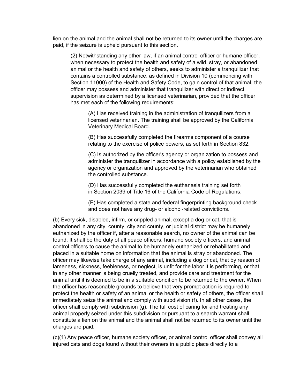lien on the animal and the animal shall not be returned to its owner until the charges are paid, if the seizure is upheld pursuant to this section.

(2) Notwithstanding any other law, if an animal control officer or humane officer, when necessary to protect the health and safety of a wild, stray, or abandoned animal or the health and safety of others, seeks to administer a tranquilizer that contains a controlled substance, as defined in Division 10 (commencing with Section 11000) of the Health and Safety Code, to gain control of that animal, the officer may possess and administer that tranquilizer with direct or indirect supervision as determined by a licensed veterinarian, provided that the officer has met each of the following requirements:

(A) Has received training in the administration of tranquilizers from a licensed veterinarian. The training shall be approved by the California Veterinary Medical Board.

(B) Has successfully completed the firearms component of a course relating to the exercise of police powers, as set forth in Section 832.

(C) Is authorized by the officer's agency or organization to possess and administer the tranquilizer in accordance with a policy established by the agency or organization and approved by the veterinarian who obtained the controlled substance.

(D) Has successfully completed the euthanasia training set forth in Section 2039 of Title 16 of the California Code of Regulations.

(E) Has completed a state and federal fingerprinting background check and does not have any drug- or alcohol-related convictions.

(b) Every sick, disabled, infirm, or crippled animal, except a dog or cat, that is abandoned in any city, county, city and county, or judicial district may be humanely euthanized by the officer if, after a reasonable search, no owner of the animal can be found. It shall be the duty of all peace officers, humane society officers, and animal control officers to cause the animal to be humanely euthanized or rehabilitated and placed in a suitable home on information that the animal is stray or abandoned. The officer may likewise take charge of any animal, including a dog or cat, that by reason of lameness, sickness, feebleness, or neglect, is unfit for the labor it is performing, or that in any other manner is being cruelly treated, and provide care and treatment for the animal until it is deemed to be in a suitable condition to be returned to the owner. When the officer has reasonable grounds to believe that very prompt action is required to protect the health or safety of an animal or the health or safety of others, the officer shall immediately seize the animal and comply with subdivision (f). In all other cases, the officer shall comply with subdivision (g). The full cost of caring for and treating any animal properly seized under this subdivision or pursuant to a search warrant shall constitute a lien on the animal and the animal shall not be returned to its owner until the charges are paid.

(c)(1) Any peace officer, humane society officer, or animal control officer shall convey all injured cats and dogs found without their owners in a public place directly to a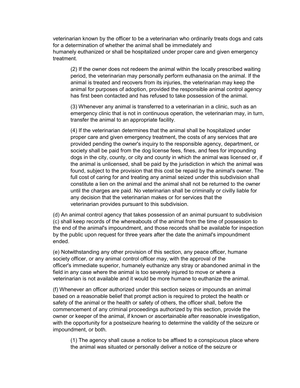veterinarian known by the officer to be a veterinarian who ordinarily treats dogs and cats for a determination of whether the animal shall be immediately and humanely euthanized or shall be hospitalized under proper care and given emergency treatment.

(2) If the owner does not redeem the animal within the locally prescribed waiting period, the veterinarian may personally perform euthanasia on the animal. If the animal is treated and recovers from its injuries, the veterinarian may keep the animal for purposes of adoption, provided the responsible animal control agency has first been contacted and has refused to take possession of the animal.

(3) Whenever any animal is transferred to a veterinarian in a clinic, such as an emergency clinic that is not in continuous operation, the veterinarian may, in turn, transfer the animal to an appropriate facility.

(4) If the veterinarian determines that the animal shall be hospitalized under proper care and given emergency treatment, the costs of any services that are provided pending the owner's inquiry to the responsible agency, department, or society shall be paid from the dog license fees, fines, and fees for impounding dogs in the city, county, or city and county in which the animal was licensed or, if the animal is unlicensed, shall be paid by the jurisdiction in which the animal was found, subject to the provision that this cost be repaid by the animal's owner. The full cost of caring for and treating any animal seized under this subdivision shall constitute a lien on the animal and the animal shall not be returned to the owner until the charges are paid. No veterinarian shall be criminally or civilly liable for any decision that the veterinarian makes or for services that the veterinarian provides pursuant to this subdivision.

(d) An animal control agency that takes possession of an animal pursuant to subdivision (c) shall keep records of the whereabouts of the animal from the time of possession to the end of the animal's impoundment, and those records shall be available for inspection by the public upon request for three years after the date the animal's impoundment ended.

(e) Notwithstanding any other provision of this section, any peace officer, humane society officer, or any animal control officer may, with the approval of the officer's immediate superior, humanely euthanize any stray or abandoned animal in the field in any case where the animal is too severely injured to move or where a veterinarian is not available and it would be more humane to euthanize the animal.

(f) Whenever an officer authorized under this section seizes or impounds an animal based on a reasonable belief that prompt action is required to protect the health or safety of the animal or the health or safety of others, the officer shall, before the commencement of any criminal proceedings authorized by this section, provide the owner or keeper of the animal, if known or ascertainable after reasonable investigation, with the opportunity for a postseizure hearing to determine the validity of the seizure or impoundment, or both.

(1) The agency shall cause a notice to be affixed to a conspicuous place where the animal was situated or personally deliver a notice of the seizure or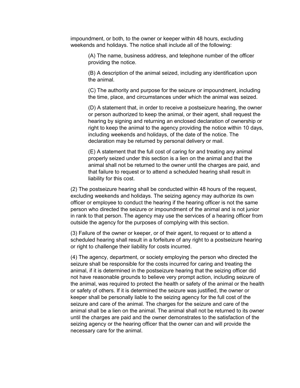impoundment, or both, to the owner or keeper within 48 hours, excluding weekends and holidays. The notice shall include all of the following:

> (A) The name, business address, and telephone number of the officer providing the notice.

(B) A description of the animal seized, including any identification upon the animal.

(C) The authority and purpose for the seizure or impoundment, including the time, place, and circumstances under which the animal was seized.

(D) A statement that, in order to receive a postseizure hearing, the owner or person authorized to keep the animal, or their agent, shall request the hearing by signing and returning an enclosed declaration of ownership or right to keep the animal to the agency providing the notice within 10 days, including weekends and holidays, of the date of the notice. The declaration may be returned by personal delivery or mail.

(E) A statement that the full cost of caring for and treating any animal properly seized under this section is a lien on the animal and that the animal shall not be returned to the owner until the charges are paid, and that failure to request or to attend a scheduled hearing shall result in liability for this cost.

(2) The postseizure hearing shall be conducted within 48 hours of the request, excluding weekends and holidays. The seizing agency may authorize its own officer or employee to conduct the hearing if the hearing officer is not the same person who directed the seizure or impoundment of the animal and is not junior in rank to that person. The agency may use the services of a hearing officer from outside the agency for the purposes of complying with this section.

(3) Failure of the owner or keeper, or of their agent, to request or to attend a scheduled hearing shall result in a forfeiture of any right to a postseizure hearing or right to challenge their liability for costs incurred.

(4) The agency, department, or society employing the person who directed the seizure shall be responsible for the costs incurred for caring and treating the animal, if it is determined in the postseizure hearing that the seizing officer did not have reasonable grounds to believe very prompt action, including seizure of the animal, was required to protect the health or safety of the animal or the health or safety of others. If it is determined the seizure was justified, the owner or keeper shall be personally liable to the seizing agency for the full cost of the seizure and care of the animal. The charges for the seizure and care of the animal shall be a lien on the animal. The animal shall not be returned to its owner until the charges are paid and the owner demonstrates to the satisfaction of the seizing agency or the hearing officer that the owner can and will provide the necessary care for the animal.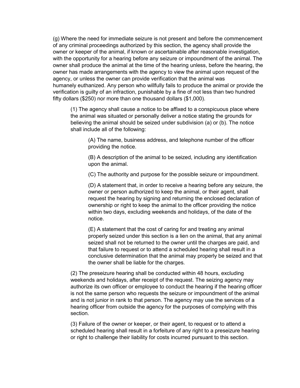(g) Where the need for immediate seizure is not present and before the commencement of any criminal proceedings authorized by this section, the agency shall provide the owner or keeper of the animal, if known or ascertainable after reasonable investigation, with the opportunity for a hearing before any seizure or impoundment of the animal. The owner shall produce the animal at the time of the hearing unless, before the hearing, the owner has made arrangements with the agency to view the animal upon request of the agency, or unless the owner can provide verification that the animal was humanely euthanized. Any person who willfully fails to produce the animal or provide the verification is guilty of an infraction, punishable by a fine of not less than two hundred fifty dollars (\$250) nor more than one thousand dollars (\$1,000).

(1) The agency shall cause a notice to be affixed to a conspicuous place where the animal was situated or personally deliver a notice stating the grounds for believing the animal should be seized under subdivision (a) or (b). The notice shall include all of the following:

(A) The name, business address, and telephone number of the officer providing the notice.

(B) A description of the animal to be seized, including any identification upon the animal.

(C) The authority and purpose for the possible seizure or impoundment.

(D) A statement that, in order to receive a hearing before any seizure, the owner or person authorized to keep the animal, or their agent, shall request the hearing by signing and returning the enclosed declaration of ownership or right to keep the animal to the officer providing the notice within two days, excluding weekends and holidays, of the date of the notice.

(E) A statement that the cost of caring for and treating any animal properly seized under this section is a lien on the animal, that any animal seized shall not be returned to the owner until the charges are paid, and that failure to request or to attend a scheduled hearing shall result in a conclusive determination that the animal may properly be seized and that the owner shall be liable for the charges.

(2) The preseizure hearing shall be conducted within 48 hours, excluding weekends and holidays, after receipt of the request. The seizing agency may authorize its own officer or employee to conduct the hearing if the hearing officer is not the same person who requests the seizure or impoundment of the animal and is not junior in rank to that person. The agency may use the services of a hearing officer from outside the agency for the purposes of complying with this section.

(3) Failure of the owner or keeper, or their agent, to request or to attend a scheduled hearing shall result in a forfeiture of any right to a preseizure hearing or right to challenge their liability for costs incurred pursuant to this section.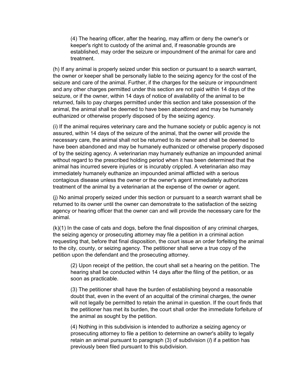(4) The hearing officer, after the hearing, may affirm or deny the owner's or keeper's right to custody of the animal and, if reasonable grounds are established, may order the seizure or impoundment of the animal for care and treatment.

(h) If any animal is properly seized under this section or pursuant to a search warrant, the owner or keeper shall be personally liable to the seizing agency for the cost of the seizure and care of the animal. Further, if the charges for the seizure or impoundment and any other charges permitted under this section are not paid within 14 days of the seizure, or if the owner, within 14 days of notice of availability of the animal to be returned, fails to pay charges permitted under this section and take possession of the animal, the animal shall be deemed to have been abandoned and may be humanely euthanized or otherwise properly disposed of by the seizing agency.

(i) If the animal requires veterinary care and the humane society or public agency is not assured, within 14 days of the seizure of the animal, that the owner will provide the necessary care, the animal shall not be returned to its owner and shall be deemed to have been abandoned and may be humanely euthanized or otherwise properly disposed of by the seizing agency. A veterinarian may humanely euthanize an impounded animal without regard to the prescribed holding period when it has been determined that the animal has incurred severe injuries or is incurably crippled. A veterinarian also may immediately humanely euthanize an impounded animal afflicted with a serious contagious disease unless the owner or the owner's agent immediately authorizes treatment of the animal by a veterinarian at the expense of the owner or agent.

(j) No animal properly seized under this section or pursuant to a search warrant shall be returned to its owner until the owner can demonstrate to the satisfaction of the seizing agency or hearing officer that the owner can and will provide the necessary care for the animal.

(k)(1) In the case of cats and dogs, before the final disposition of any criminal charges, the seizing agency or prosecuting attorney may file a petition in a criminal action requesting that, before that final disposition, the court issue an order forfeiting the animal to the city, county, or seizing agency. The petitioner shall serve a true copy of the petition upon the defendant and the prosecuting attorney.

(2) Upon receipt of the petition, the court shall set a hearing on the petition. The hearing shall be conducted within 14 days after the filing of the petition, or as soon as practicable.

(3) The petitioner shall have the burden of establishing beyond a reasonable doubt that, even in the event of an acquittal of the criminal charges, the owner will not legally be permitted to retain the animal in question. If the court finds that the petitioner has met its burden, the court shall order the immediate forfeiture of the animal as sought by the petition.

(4) Nothing in this subdivision is intended to authorize a seizing agency or prosecuting attorney to file a petition to determine an owner's ability to legally retain an animal pursuant to paragraph (3) of subdivision (*l*) if a petition has previously been filed pursuant to this subdivision.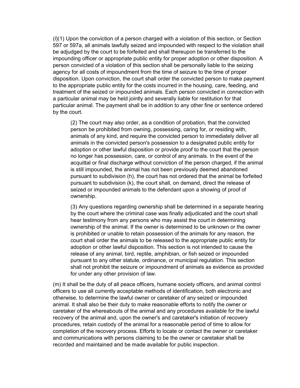(*l*)(1) Upon the conviction of a person charged with a violation of this section, or Section 597 or 597a, all animals lawfully seized and impounded with respect to the violation shall be adjudged by the court to be forfeited and shall thereupon be transferred to the impounding officer or appropriate public entity for proper adoption or other disposition. A person convicted of a violation of this section shall be personally liable to the seizing agency for all costs of impoundment from the time of seizure to the time of proper disposition. Upon conviction, the court shall order the convicted person to make payment to the appropriate public entity for the costs incurred in the housing, care, feeding, and treatment of the seized or impounded animals. Each person convicted in connection with a particular animal may be held jointly and severally liable for restitution for that particular animal. The payment shall be in addition to any other fine or sentence ordered by the court.

(2) The court may also order, as a condition of probation, that the convicted person be prohibited from owning, possessing, caring for, or residing with, animals of any kind, and require the convicted person to immediately deliver all animals in the convicted person's possession to a designated public entity for adoption or other lawful disposition or provide proof to the court that the person no longer has possession, care, or control of any animals. In the event of the acquittal or final discharge without conviction of the person charged, if the animal is still impounded, the animal has not been previously deemed abandoned pursuant to subdivision (h), the court has not ordered that the animal be forfeited pursuant to subdivision (k), the court shall, on demand, direct the release of seized or impounded animals to the defendant upon a showing of proof of ownership.

(3) Any questions regarding ownership shall be determined in a separate hearing by the court where the criminal case was finally adjudicated and the court shall hear testimony from any persons who may assist the court in determining ownership of the animal. If the owner is determined to be unknown or the owner is prohibited or unable to retain possession of the animals for any reason, the court shall order the animals to be released to the appropriate public entity for adoption or other lawful disposition. This section is not intended to cause the release of any animal, bird, reptile, amphibian, or fish seized or impounded pursuant to any other statute, ordinance, or municipal regulation. This section shall not prohibit the seizure or impoundment of animals as evidence as provided for under any other provision of law.

(m) It shall be the duty of all peace officers, humane society officers, and animal control officers to use all currently acceptable methods of identification, both electronic and otherwise, to determine the lawful owner or caretaker of any seized or impounded animal. It shall also be their duty to make reasonable efforts to notify the owner or caretaker of the whereabouts of the animal and any procedures available for the lawful recovery of the animal and, upon the owner's and caretaker's initiation of recovery procedures, retain custody of the animal for a reasonable period of time to allow for completion of the recovery process. Efforts to locate or contact the owner or caretaker and communications with persons claiming to be the owner or caretaker shall be recorded and maintained and be made available for public inspection.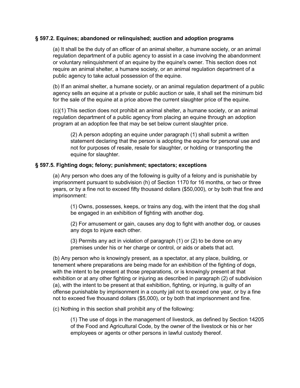#### **§ 597.2. Equines; abandoned or relinquished; auction and adoption programs**

(a) It shall be the duty of an officer of an animal shelter, a humane society, or an animal regulation department of a public agency to assist in a case involving the abandonment or voluntary relinquishment of an equine by the equine's owner. This section does not require an animal shelter, a humane society, or an animal regulation department of a public agency to take actual possession of the equine.

(b) If an animal shelter, a humane society, or an animal regulation department of a public agency sells an equine at a private or public auction or sale, it shall set the minimum bid for the sale of the equine at a price above the current slaughter price of the equine.

(c)(1) This section does not prohibit an animal shelter, a humane society, or an animal regulation department of a public agency from placing an equine through an adoption program at an adoption fee that may be set below current slaughter price.

(2) A person adopting an equine under paragraph (1) shall submit a written statement declaring that the person is adopting the equine for personal use and not for purposes of resale, resale for slaughter, or holding or transporting the equine for slaughter.

#### **§ 597.5. Fighting dogs; felony; punishment; spectators; exceptions**

(a) Any person who does any of the following is guilty of a felony and is punishable by imprisonment pursuant to subdivision (h) of Section 1170 for 16 months, or two or three years, or by a fine not to exceed fifty thousand dollars (\$50,000), or by both that fine and imprisonment:

(1) Owns, possesses, keeps, or trains any dog, with the intent that the dog shall be engaged in an exhibition of fighting with another dog.

(2) For amusement or gain, causes any dog to fight with another dog, or causes any dogs to injure each other.

(3) Permits any act in violation of paragraph (1) or (2) to be done on any premises under his or her charge or control, or aids or abets that act.

(b) Any person who is knowingly present, as a spectator, at any place, building, or tenement where preparations are being made for an exhibition of the fighting of dogs, with the intent to be present at those preparations, or is knowingly present at that exhibition or at any other fighting or injuring as described in paragraph (2) of subdivision (a), with the intent to be present at that exhibition, fighting, or injuring, is guilty of an offense punishable by imprisonment in a county jail not to exceed one year, or by a fine not to exceed five thousand dollars (\$5,000), or by both that imprisonment and fine.

(c) Nothing in this section shall prohibit any of the following:

(1) The use of dogs in the management of livestock, as defined by Section 14205 of the Food and Agricultural Code, by the owner of the livestock or his or her employees or agents or other persons in lawful custody thereof.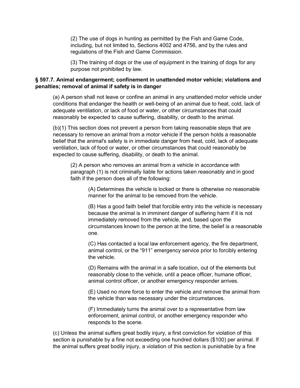(2) The use of dogs in hunting as permitted by the Fish and Game Code, including, but not limited to, Sections 4002 and 4756, and by the rules and regulations of the Fish and Game Commission.

(3) The training of dogs or the use of equipment in the training of dogs for any purpose not prohibited by law.

# **§ 597.7. Animal endangerment; confinement in unattended motor vehicle; violations and penalties; removal of animal if safety is in danger**

(a) A person shall not leave or confine an animal in any unattended motor vehicle under conditions that endanger the health or well-being of an animal due to heat, cold, lack of adequate ventilation, or lack of food or water, or other circumstances that could reasonably be expected to cause suffering, disability, or death to the animal.

(b)(1) This section does not prevent a person from taking reasonable steps that are necessary to remove an animal from a motor vehicle if the person holds a reasonable belief that the animal's safety is in immediate danger from heat, cold, lack of adequate ventilation, lack of food or water, or other circumstances that could reasonably be expected to cause suffering, disability, or death to the animal.

(2) A person who removes an animal from a vehicle in accordance with paragraph (1) is not criminally liable for actions taken reasonably and in good faith if the person does all of the following:

(A) Determines the vehicle is locked or there is otherwise no reasonable manner for the animal to be removed from the vehicle.

(B) Has a good faith belief that forcible entry into the vehicle is necessary because the animal is in imminent danger of suffering harm if it is not immediately removed from the vehicle, and, based upon the circumstances known to the person at the time, the belief is a reasonable one.

(C) Has contacted a local law enforcement agency, the fire department, animal control, or the "911" emergency service prior to forcibly entering the vehicle.

(D) Remains with the animal in a safe location, out of the elements but reasonably close to the vehicle, until a peace officer, humane officer, animal control officer, or another emergency responder arrives.

(E) Used no more force to enter the vehicle and remove the animal from the vehicle than was necessary under the circumstances.

(F) Immediately turns the animal over to a representative from law enforcement, animal control, or another emergency responder who responds to the scene.

(c) Unless the animal suffers great bodily injury, a first conviction for violation of this section is punishable by a fine not exceeding one hundred dollars (\$100) per animal. If the animal suffers great bodily injury, a violation of this section is punishable by a fine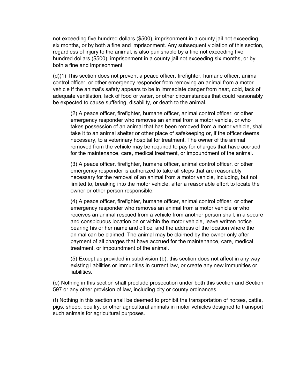not exceeding five hundred dollars (\$500), imprisonment in a county jail not exceeding six months, or by both a fine and imprisonment. Any subsequent violation of this section, regardless of injury to the animal, is also punishable by a fine not exceeding five hundred dollars (\$500), imprisonment in a county jail not exceeding six months, or by both a fine and imprisonment.

(d)(1) This section does not prevent a peace officer, firefighter, humane officer, animal control officer, or other emergency responder from removing an animal from a motor vehicle if the animal's safety appears to be in immediate danger from heat, cold, lack of adequate ventilation, lack of food or water, or other circumstances that could reasonably be expected to cause suffering, disability, or death to the animal.

(2) A peace officer, firefighter, humane officer, animal control officer, or other emergency responder who removes an animal from a motor vehicle, or who takes possession of an animal that has been removed from a motor vehicle, shall take it to an animal shelter or other place of safekeeping or, if the officer deems necessary, to a veterinary hospital for treatment. The owner of the animal removed from the vehicle may be required to pay for charges that have accrued for the maintenance, care, medical treatment, or impoundment of the animal.

(3) A peace officer, firefighter, humane officer, animal control officer, or other emergency responder is authorized to take all steps that are reasonably necessary for the removal of an animal from a motor vehicle, including, but not limited to, breaking into the motor vehicle, after a reasonable effort to locate the owner or other person responsible.

(4) A peace officer, firefighter, humane officer, animal control officer, or other emergency responder who removes an animal from a motor vehicle or who receives an animal rescued from a vehicle from another person shall, in a secure and conspicuous location on or within the motor vehicle, leave written notice bearing his or her name and office, and the address of the location where the animal can be claimed. The animal may be claimed by the owner only after payment of all charges that have accrued for the maintenance, care, medical treatment, or impoundment of the animal.

(5) Except as provided in subdivision (b), this section does not affect in any way existing liabilities or immunities in current law, or create any new immunities or liabilities.

(e) Nothing in this section shall preclude prosecution under both this section and Section 597 or any other provision of law, including city or county ordinances.

(f) Nothing in this section shall be deemed to prohibit the transportation of horses, cattle, pigs, sheep, poultry, or other agricultural animals in motor vehicles designed to transport such animals for agricultural purposes.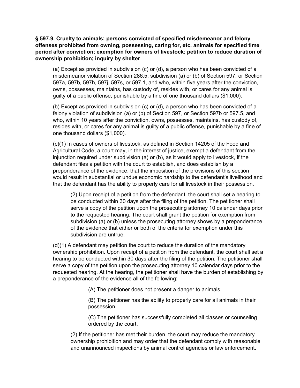# **§ 597.9. Cruelty to animals; persons convicted of specified misdemeanor and felony offenses prohibited from owning, possessing, caring for, etc. animals for specified time period after conviction; exemption for owners of livestock; petition to reduce duration of ownership prohibition; inquiry by shelter**

(a) Except as provided in subdivision (c) or (d), a person who has been convicted of a misdemeanor violation of Section 286.5, subdivision (a) or (b) of Section 597, or Section 597a, 597b, 597h, 597j, 597s, or 597.1, and who, within five years after the conviction, owns, possesses, maintains, has custody of, resides with, or cares for any animal is guilty of a public offense, punishable by a fine of one thousand dollars (\$1,000).

(b) Except as provided in subdivision (c) or (d), a person who has been convicted of a felony violation of subdivision (a) or (b) of Section 597, or Section 597b or 597.5, and who, within 10 years after the conviction, owns, possesses, maintains, has custody of, resides with, or cares for any animal is guilty of a public offense, punishable by a fine of one thousand dollars (\$1,000).

(c)(1) In cases of owners of livestock, as defined in Section 14205 of the Food and Agricultural Code, a court may, in the interest of justice, exempt a defendant from the injunction required under subdivision (a) or (b), as it would apply to livestock, if the defendant files a petition with the court to establish, and does establish by a preponderance of the evidence, that the imposition of the provisions of this section would result in substantial or undue economic hardship to the defendant's livelihood and that the defendant has the ability to properly care for all livestock in their possession.

(2) Upon receipt of a petition from the defendant, the court shall set a hearing to be conducted within 30 days after the filing of the petition. The petitioner shall serve a copy of the petition upon the prosecuting attorney 10 calendar days prior to the requested hearing. The court shall grant the petition for exemption from subdivision (a) or (b) unless the prosecuting attorney shows by a preponderance of the evidence that either or both of the criteria for exemption under this subdivision are untrue.

(d)(1) A defendant may petition the court to reduce the duration of the mandatory ownership prohibition. Upon receipt of a petition from the defendant, the court shall set a hearing to be conducted within 30 days after the filing of the petition. The petitioner shall serve a copy of the petition upon the prosecuting attorney 10 calendar days prior to the requested hearing. At the hearing, the petitioner shall have the burden of establishing by a preponderance of the evidence all of the following:

(A) The petitioner does not present a danger to animals.

(B) The petitioner has the ability to properly care for all animals in their possession.

(C) The petitioner has successfully completed all classes or counseling ordered by the court.

(2) If the petitioner has met their burden, the court may reduce the mandatory ownership prohibition and may order that the defendant comply with reasonable and unannounced inspections by animal control agencies or law enforcement.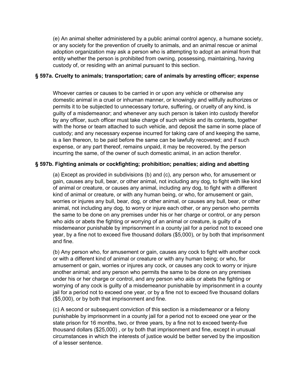(e) An animal shelter administered by a public animal control agency, a humane society, or any society for the prevention of cruelty to animals, and an animal rescue or animal adoption organization may ask a person who is attempting to adopt an animal from that entity whether the person is prohibited from owning, possessing, maintaining, having custody of, or residing with an animal pursuant to this section.

# **§ 597a. Cruelty to animals; transportation; care of animals by arresting officer; expense**

Whoever carries or causes to be carried in or upon any vehicle or otherwise any domestic animal in a cruel or inhuman manner, or knowingly and willfully authorizes or permits it to be subjected to unnecessary torture, suffering, or cruelty of any kind, is guilty of a misdemeanor; and whenever any such person is taken into custody therefor by any officer, such officer must take charge of such vehicle and its contents, together with the horse or team attached to such vehicle, and deposit the same in some place of custody; and any necessary expense incurred for taking care of and keeping the same, is a lien thereon, to be paid before the same can be lawfully recovered; and if such expense, or any part thereof, remains unpaid, it may be recovered, by the person incurring the same, of the owner of such domestic animal, in an action therefor.

# **§ 597b. Fighting animals or cockfighting; prohibition; penalties; aiding and abetting**

(a) Except as provided in subdivisions (b) and (c), any person who, for amusement or gain, causes any bull, bear, or other animal, not including any dog, to fight with like kind of animal or creature, or causes any animal, including any dog, to fight with a different kind of animal or creature, or with any human being, or who, for amusement or gain, worries or injures any bull, bear, dog, or other animal, or causes any bull, bear, or other animal, not including any dog, to worry or injure each other, or any person who permits the same to be done on any premises under his or her charge or control, or any person who aids or abets the fighting or worrying of an animal or creature, is guilty of a misdemeanor punishable by imprisonment in a county jail for a period not to exceed one year, by a fine not to exceed five thousand dollars (\$5,000), or by both that imprisonment and fine.

(b) Any person who, for amusement or gain, causes any cock to fight with another cock or with a different kind of animal or creature or with any human being; or who, for amusement or gain, worries or injures any cock, or causes any cock to worry or injure another animal; and any person who permits the same to be done on any premises under his or her charge or control, and any person who aids or abets the fighting or worrying of any cock is guilty of a misdemeanor punishable by imprisonment in a county jail for a period not to exceed one year, or by a fine not to exceed five thousand dollars (\$5,000), or by both that imprisonment and fine.

(c) A second or subsequent conviction of this section is a misdemeanor or a felony punishable by imprisonment in a county jail for a period not to exceed one year or the state prison for 16 months, two, or three years, by a fine not to exceed twenty-five thousand dollars (\$25,000) , or by both that imprisonment and fine, except in unusual circumstances in which the interests of justice would be better served by the imposition of a lesser sentence.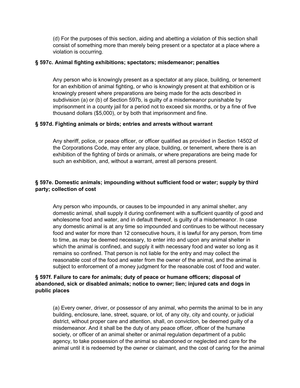(d) For the purposes of this section, aiding and abetting a violation of this section shall consist of something more than merely being present or a spectator at a place where a violation is occurring.

#### **§ 597c. Animal fighting exhibitions; spectators; misdemeanor; penalties**

Any person who is knowingly present as a spectator at any place, building, or tenement for an exhibition of animal fighting, or who is knowingly present at that exhibition or is knowingly present where preparations are being made for the acts described in subdivision (a) or (b) of Section 597b, is guilty of a misdemeanor punishable by imprisonment in a county jail for a period not to exceed six months, or by a fine of five thousand dollars (\$5,000), or by both that imprisonment and fine.

#### **§ 597d. Fighting animals or birds; entries and arrests without warrant**

Any sheriff, police, or peace officer, or officer qualified as provided in Section 14502 of the Corporations Code, may enter any place, building, or tenement, where there is an exhibition of the fighting of birds or animals, or where preparations are being made for such an exhibition, and, without a warrant, arrest all persons present.

# **§ 597e. Domestic animals; impounding without sufficient food or water; supply by third party; collection of cost**

Any person who impounds, or causes to be impounded in any animal shelter, any domestic animal, shall supply it during confinement with a sufficient quantity of good and wholesome food and water, and in default thereof, is guilty of a misdemeanor. In case any domestic animal is at any time so impounded and continues to be without necessary food and water for more than 12 consecutive hours, it is lawful for any person, from time to time, as may be deemed necessary, to enter into and upon any animal shelter in which the animal is confined, and supply it with necessary food and water so long as it remains so confined. That person is not liable for the entry and may collect the reasonable cost of the food and water from the owner of the animal, and the animal is subject to enforcement of a money judgment for the reasonable cost of food and water.

# **§ 597f. Failure to care for animals; duty of peace or humane officers; disposal of abandoned, sick or disabled animals; notice to owner; lien; injured cats and dogs in public places**

(a) Every owner, driver, or possessor of any animal, who permits the animal to be in any building, enclosure, lane, street, square, or lot, of any city, city and county, or judicial district, without proper care and attention, shall, on conviction, be deemed guilty of a misdemeanor. And it shall be the duty of any peace officer, officer of the humane society, or officer of an animal shelter or animal regulation department of a public agency, to take possession of the animal so abandoned or neglected and care for the animal until it is redeemed by the owner or claimant, and the cost of caring for the animal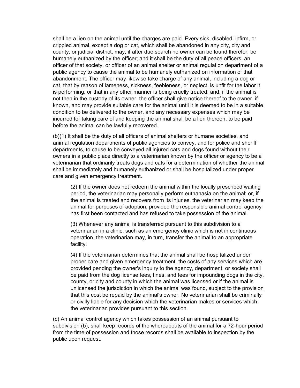shall be a lien on the animal until the charges are paid. Every sick, disabled, infirm, or crippled animal, except a dog or cat, which shall be abandoned in any city, city and county, or judicial district, may, if after due search no owner can be found therefor, be humanely euthanized by the officer; and it shall be the duty of all peace officers, an officer of that society, or officer of an animal shelter or animal regulation department of a public agency to cause the animal to be humanely euthanized on information of that abandonment. The officer may likewise take charge of any animal, including a dog or cat, that by reason of lameness, sickness, feebleness, or neglect, is unfit for the labor it is performing, or that in any other manner is being cruelly treated; and, if the animal is not then in the custody of its owner, the officer shall give notice thereof to the owner, if known, and may provide suitable care for the animal until it is deemed to be in a suitable condition to be delivered to the owner, and any necessary expenses which may be incurred for taking care of and keeping the animal shall be a lien thereon, to be paid before the animal can be lawfully recovered.

(b)(1) It shall be the duty of all officers of animal shelters or humane societies, and animal regulation departments of public agencies to convey, and for police and sheriff departments, to cause to be conveyed all injured cats and dogs found without their owners in a public place directly to a veterinarian known by the officer or agency to be a veterinarian that ordinarily treats dogs and cats for a determination of whether the animal shall be immediately and humanely euthanized or shall be hospitalized under proper care and given emergency treatment.

(2) If the owner does not redeem the animal within the locally prescribed waiting period, the veterinarian may personally perform euthanasia on the animal; or, if the animal is treated and recovers from its injuries, the veterinarian may keep the animal for purposes of adoption, provided the responsible animal control agency has first been contacted and has refused to take possession of the animal.

(3) Whenever any animal is transferred pursuant to this subdivision to a veterinarian in a clinic, such as an emergency clinic which is not in continuous operation, the veterinarian may, in turn, transfer the animal to an appropriate facility.

(4) If the veterinarian determines that the animal shall be hospitalized under proper care and given emergency treatment, the costs of any services which are provided pending the owner's inquiry to the agency, department, or society shall be paid from the dog license fees, fines, and fees for impounding dogs in the city, county, or city and county in which the animal was licensed or if the animal is unlicensed the jurisdiction in which the animal was found, subject to the provision that this cost be repaid by the animal's owner. No veterinarian shall be criminally or civilly liable for any decision which the veterinarian makes or services which the veterinarian provides pursuant to this section.

(c) An animal control agency which takes possession of an animal pursuant to subdivision (b), shall keep records of the whereabouts of the animal for a 72-hour period from the time of possession and those records shall be available to inspection by the public upon request.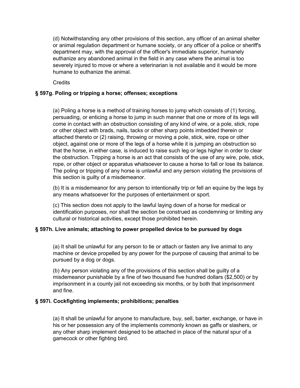(d) Notwithstanding any other provisions of this section, any officer of an animal shelter or animal regulation department or humane society, or any officer of a police or sheriff's department may, with the approval of the officer's immediate superior, humanely euthanize any abandoned animal in the field in any case where the animal is too severely injured to move or where a veterinarian is not available and it would be more humane to euthanize the animal.

**Credits** 

# **§ 597g. Poling or tripping a horse; offenses; exceptions**

(a) Poling a horse is a method of training horses to jump which consists of (1) forcing, persuading, or enticing a horse to jump in such manner that one or more of its legs will come in contact with an obstruction consisting of any kind of wire, or a pole, stick, rope or other object with brads, nails, tacks or other sharp points imbedded therein or attached thereto or (2) raising, throwing or moving a pole, stick, wire, rope or other object, against one or more of the legs of a horse while it is jumping an obstruction so that the horse, in either case, is induced to raise such leg or legs higher in order to clear the obstruction. Tripping a horse is an act that consists of the use of any wire, pole, stick, rope, or other object or apparatus whatsoever to cause a horse to fall or lose its balance. The poling or tripping of any horse is unlawful and any person violating the provisions of this section is guilty of a misdemeanor.

(b) It is a misdemeanor for any person to intentionally trip or fell an equine by the legs by any means whatsoever for the purposes of entertainment or sport.

(c) This section does not apply to the lawful laying down of a horse for medical or identification purposes, nor shall the section be construed as condemning or limiting any cultural or historical activities, except those prohibited herein.

# **§ 597h. Live animals; attaching to power propelled device to be pursued by dogs**

(a) It shall be unlawful for any person to tie or attach or fasten any live animal to any machine or device propelled by any power for the purpose of causing that animal to be pursued by a dog or dogs.

(b) Any person violating any of the provisions of this section shall be guilty of a misdemeanor punishable by a fine of two thousand five hundred dollars (\$2,500) or by imprisonment in a county jail not exceeding six months, or by both that imprisonment and fine.

# **§ 597i. Cockfighting implements; prohibitions; penalties**

(a) It shall be unlawful for anyone to manufacture, buy, sell, barter, exchange, or have in his or her possession any of the implements commonly known as gaffs or slashers, or any other sharp implement designed to be attached in place of the natural spur of a gamecock or other fighting bird.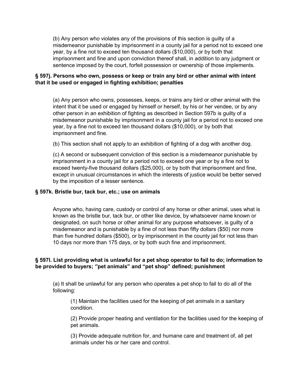(b) Any person who violates any of the provisions of this section is guilty of a misdemeanor punishable by imprisonment in a county jail for a period not to exceed one year, by a fine not to exceed ten thousand dollars (\$10,000), or by both that imprisonment and fine and upon conviction thereof shall, in addition to any judgment or sentence imposed by the court, forfeit possession or ownership of those implements.

# **§ 597j. Persons who own, possess or keep or train any bird or other animal with intent that it be used or engaged in fighting exhibition; penalties**

(a) Any person who owns, possesses, keeps, or trains any bird or other animal with the intent that it be used or engaged by himself or herself, by his or her vendee, or by any other person in an exhibition of fighting as described in Section 597b is guilty of a misdemeanor punishable by imprisonment in a county jail for a period not to exceed one year, by a fine not to exceed ten thousand dollars (\$10,000), or by both that imprisonment and fine.

(b) This section shall not apply to an exhibition of fighting of a dog with another dog.

(c) A second or subsequent conviction of this section is a misdemeanor punishable by imprisonment in a county jail for a period not to exceed one year or by a fine not to exceed twenty-five thousand dollars (\$25,000), or by both that imprisonment and fine, except in unusual circumstances in which the interests of justice would be better served by the imposition of a lesser sentence.

#### **§ 597k. Bristle bur, tack bur, etc.; use on animals**

Anyone who, having care, custody or control of any horse or other animal, uses what is known as the bristle bur, tack bur, or other like device, by whatsoever name known or designated, on such horse or other animal for any purpose whatsoever, is guilty of a misdemeanor and is punishable by a fine of not less than fifty dollars (\$50) nor more than five hundred dollars (\$500), or by imprisonment in the county jail for not less than 10 days nor more than 175 days, or by both such fine and imprisonment.

# **§ 597l. List providing what is unlawful for a pet shop operator to fail to do; information to be provided to buyers; ''pet animals" and "pet shop" defined; punishment**

(a) It shall be unlawful for any person who operates a pet shop to fail to do all of the following:

(1) Maintain the facilities used for the keeping of pet animals in a sanitary condition.

(2) Provide proper heating and ventilation for the facilities used for the keeping of pet animals.

(3) Provide adequate nutrition for, and humane care and treatment of, all pet animals under his or her care and control.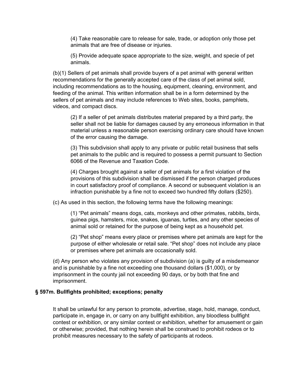(4) Take reasonable care to release for sale, trade, or adoption only those pet animals that are free of disease or injuries.

(5) Provide adequate space appropriate to the size, weight, and specie of pet animals.

(b)(1) Sellers of pet animals shall provide buyers of a pet animal with general written recommendations for the generally accepted care of the class of pet animal sold, including recommendations as to the housing, equipment, cleaning, environment, and feeding of the animal. This written information shall be in a form determined by the sellers of pet animals and may include references to Web sites, books, pamphlets, videos, and compact discs.

(2) If a seller of pet animals distributes material prepared by a third party, the seller shall not be liable for damages caused by any erroneous information in that material unless a reasonable person exercising ordinary care should have known of the error causing the damage.

(3) This subdivision shall apply to any private or public retail business that sells pet animals to the public and is required to possess a permit pursuant to Section 6066 of the Revenue and Taxation Code.

(4) Charges brought against a seller of pet animals for a first violation of the provisions of this subdivision shall be dismissed if the person charged produces in court satisfactory proof of compliance. A second or subsequent violation is an infraction punishable by a fine not to exceed two hundred fifty dollars (\$250).

(c) As used in this section, the following terms have the following meanings:

(1) "Pet animals" means dogs, cats, monkeys and other primates, rabbits, birds, guinea pigs, hamsters, mice, snakes, iguanas, turtles, and any other species of animal sold or retained for the purpose of being kept as a household pet.

(2) "Pet shop" means every place or premises where pet animals are kept for the purpose of either wholesale or retail sale. "Pet shop" does not include any place or premises where pet animals are occasionally sold.

(d) Any person who violates any provision of subdivision (a) is guilty of a misdemeanor and is punishable by a fine not exceeding one thousand dollars (\$1,000), or by imprisonment in the county jail not exceeding 90 days, or by both that fine and imprisonment.

#### **§ 597m. Bullfights prohibited; exceptions; penalty**

It shall be unlawful for any person to promote, advertise, stage, hold, manage, conduct, participate in, engage in, or carry on any bullfight exhibition, any bloodless bullfight contest or exhibition, or any similar contest or exhibition, whether for amusement or gain or otherwise; provided, that nothing herein shall be construed to prohibit rodeos or to prohibit measures necessary to the safety of participants at rodeos.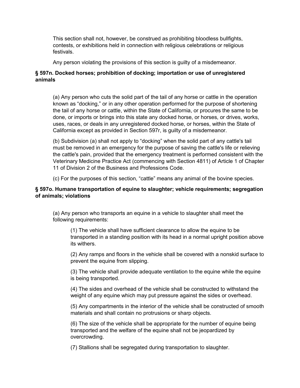This section shall not, however, be construed as prohibiting bloodless bullfights, contests, or exhibitions held in connection with religious celebrations or religious festivals.

Any person violating the provisions of this section is guilty of a misdemeanor.

# **§ 597n. Docked horses; prohibition of docking; importation or use of unregistered animals**

(a) Any person who cuts the solid part of the tail of any horse or cattle in the operation known as "docking," or in any other operation performed for the purpose of shortening the tail of any horse or cattle, within the State of California, or procures the same to be done, or imports or brings into this state any docked horse, or horses, or drives, works, uses, races, or deals in any unregistered docked horse, or horses, within the State of California except as provided in Section 597r, is guilty of a misdemeanor.

(b) Subdivision (a) shall not apply to "docking" when the solid part of any cattle's tail must be removed in an emergency for the purpose of saving the cattle's life or relieving the cattle's pain, provided that the emergency treatment is performed consistent with the Veterinary Medicine Practice Act (commencing with Section 4811) of Article 1 of Chapter 11 of Division 2 of the Business and Professions Code.

(c) For the purposes of this section, "cattle" means any animal of the bovine species.

# **§ 597o. Humane transportation of equine to slaughter; vehicle requirements; segregation of animals; violations**

(a) Any person who transports an equine in a vehicle to slaughter shall meet the following requirements:

(1) The vehicle shall have sufficient clearance to allow the equine to be transported in a standing position with its head in a normal upright position above its withers.

(2) Any ramps and floors in the vehicle shall be covered with a nonskid surface to prevent the equine from slipping.

(3) The vehicle shall provide adequate ventilation to the equine while the equine is being transported.

(4) The sides and overhead of the vehicle shall be constructed to withstand the weight of any equine which may put pressure against the sides or overhead.

(5) Any compartments in the interior of the vehicle shall be constructed of smooth materials and shall contain no protrusions or sharp objects.

(6) The size of the vehicle shall be appropriate for the number of equine being transported and the welfare of the equine shall not be jeopardized by overcrowding.

(7) Stallions shall be segregated during transportation to slaughter.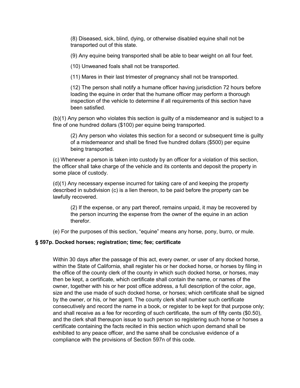(8) Diseased, sick, blind, dying, or otherwise disabled equine shall not be transported out of this state.

(9) Any equine being transported shall be able to bear weight on all four feet.

(10) Unweaned foals shall not be transported.

(11) Mares in their last trimester of pregnancy shall not be transported.

(12) The person shall notify a humane officer having jurisdiction 72 hours before loading the equine in order that the humane officer may perform a thorough inspection of the vehicle to determine if all requirements of this section have been satisfied.

(b)(1) Any person who violates this section is guilty of a misdemeanor and is subject to a fine of one hundred dollars (\$100) per equine being transported.

(2) Any person who violates this section for a second or subsequent time is guilty of a misdemeanor and shall be fined five hundred dollars (\$500) per equine being transported.

(c) Whenever a person is taken into custody by an officer for a violation of this section, the officer shall take charge of the vehicle and its contents and deposit the property in some place of custody.

(d)(1) Any necessary expense incurred for taking care of and keeping the property described in subdivision (c) is a lien thereon, to be paid before the property can be lawfully recovered.

(2) If the expense, or any part thereof, remains unpaid, it may be recovered by the person incurring the expense from the owner of the equine in an action therefor.

(e) For the purposes of this section, "equine" means any horse, pony, burro, or mule.

#### **§ 597p. Docked horses; registration; time; fee; certificate**

Within 30 days after the passage of this act, every owner, or user of any docked horse, within the State of California, shall register his or her docked horse, or horses by filing in the office of the county clerk of the county in which such docked horse, or horses, may then be kept, a certificate, which certificate shall contain the name, or names of the owner, together with his or her post office address, a full description of the color, age, size and the use made of such docked horse, or horses; which certificate shall be signed by the owner, or his, or her agent. The county clerk shall number such certificate consecutively and record the name in a book, or register to be kept for that purpose only; and shall receive as a fee for recording of such certificate, the sum of fifty cents (\$0.50), and the clerk shall thereupon issue to such person so registering such horse or horses a certificate containing the facts recited in this section which upon demand shall be exhibited to any peace officer, and the same shall be conclusive evidence of a compliance with the provisions of Section 597n of this code.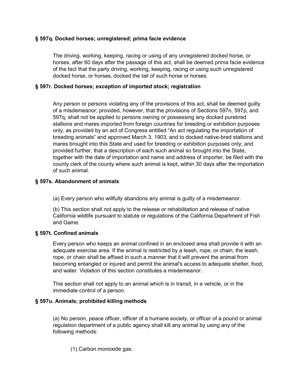# **§ 597q. Docked horses; unregistered; prima facie evidence**

The driving, working, keeping, racing or using of any unregistered docked horse, or horses, after 60 days after the passage of this act, shall be deemed prima facie evidence of the fact that the party driving, working, keeping, racing or using such unregistered docked horse, or horses, docked the tail of such horse or horses.

# **§ 597r. Docked horses; exception of imported stock; registration**

Any person or persons violating any of the provisions of this act, shall be deemed guilty of a misdemeanor; provided, however, that the provisions of Sections 597n, 597p, and 597q, shall not be applied to persons owning or possessing any docked purebred stallions and mares imported from foreign countries for breeding or exhibition purposes only, as provided by an act of Congress entitled "An act regulating the importation of breeding animals" and approved March 3, 1903, and to docked native-bred stallions and mares brought into this State and used for breeding or exhibition purposes only; and provided further, that a description of each such animal so brought into the State, together with the date of importation and name and address of importer, be filed with the county clerk of the county where such animal is kept, within 30 days after the importation of such animal.

# **§ 597s. Abandonment of animals**

(a) Every person who willfully abandons any animal is guilty of a misdemeanor.

(b) This section shall not apply to the release or rehabilitation and release of native California wildlife pursuant to statute or regulations of the California Department of Fish and Game.

# **§ 597t. Confined animals**

Every person who keeps an animal confined in an enclosed area shall provide it with an adequate exercise area. If the animal is restricted by a leash, rope, or chain, the leash, rope, or chain shall be affixed in such a manner that it will prevent the animal from becoming entangled or injured and permit the animal's access to adequate shelter, food, and water. Violation of this section constitutes a misdemeanor.

This section shall not apply to an animal which is in transit, in a vehicle, or in the immediate control of a person.

# **§ 597u. Animals; prohibited killing methods**

(a) No person, peace officer, officer of a humane society, or officer of a pound or animal regulation department of a public agency shall kill any animal by using any of the following methods:

(1) Carbon monoxide gas.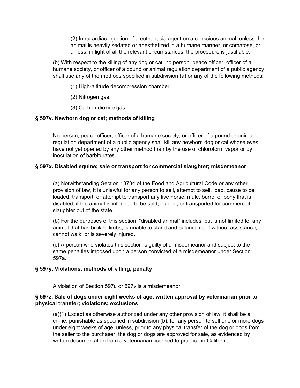(2) Intracardiac injection of a euthanasia agent on a conscious animal, unless the animal is heavily sedated or anesthetized in a humane manner, or comatose, or unless, in light of all the relevant circumstances, the procedure is justifiable.

(b) With respect to the killing of any dog or cat, no person, peace officer, officer of a humane society, or officer of a pound or animal regulation department of a public agency shall use any of the methods specified in subdivision (a) or any of the following methods:

(1) High-altitude decompression chamber.

(2) Nitrogen gas.

(3) Carbon dioxide gas.

# **§ 597v. Newborn dog or cat; methods of killing**

No person, peace officer, officer of a humane society, or officer of a pound or animal regulation department of a public agency shall kill any newborn dog or cat whose eyes have not yet opened by any other method than by the use of chloroform vapor or by inoculation of barbiturates.

# **§ 597x. Disabled equine; sale or transport for commercial slaughter; misdemeanor**

(a) Notwithstanding Section 18734 of the Food and Agricultural Code or any other provision of law, it is unlawful for any person to sell, attempt to sell, load, cause to be loaded, transport, or attempt to transport any live horse, mule, burro, or pony that is disabled, if the animal is intended to be sold, loaded, or transported for commercial slaughter out of the state.

(b) For the purposes of this section, "disabled animal" includes, but is not limited to, any animal that has broken limbs, is unable to stand and balance itself without assistance, cannot walk, or is severely injured.

(c) A person who violates this section is guilty of a misdemeanor and subject to the same penalties imposed upon a person convicted of a misdemeanor under Section 597a.

# **§ 597y. Violations; methods of killing; penalty**

A violation of Section 597u or 597v is a misdemeanor.

# **§ 597z. Sale of dogs under eight weeks of age; written approval by veterinarian prior to physical transfer; violations; exclusions**

(a)(1) Except as otherwise authorized under any other provision of law, it shall be a crime, punishable as specified in subdivision (b), for any person to sell one or more dogs under eight weeks of age, unless, prior to any physical transfer of the dog or dogs from the seller to the purchaser, the dog or dogs are approved for sale, as evidenced by written documentation from a veterinarian licensed to practice in California.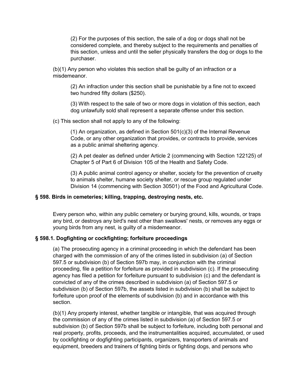(2) For the purposes of this section, the sale of a dog or dogs shall not be considered complete, and thereby subject to the requirements and penalties of this section, unless and until the seller physically transfers the dog or dogs to the purchaser.

(b)(1) Any person who violates this section shall be guilty of an infraction or a misdemeanor.

(2) An infraction under this section shall be punishable by a fine not to exceed two hundred fifty dollars (\$250).

(3) With respect to the sale of two or more dogs in violation of this section, each dog unlawfully sold shall represent a separate offense under this section.

(c) This section shall not apply to any of the following:

(1) An organization, as defined in Section 501(c)(3) of the Internal Revenue Code, or any other organization that provides, or contracts to provide, services as a public animal sheltering agency.

(2) A pet dealer as defined under Article 2 (commencing with Section 122125) of Chapter 5 of Part 6 of Division 105 of the Health and Safety Code.

(3) A public animal control agency or shelter, society for the prevention of cruelty to animals shelter, humane society shelter, or rescue group regulated under Division 14 (commencing with Section 30501) of the Food and Agricultural Code.

#### **§ 598. Birds in cemeteries; killing, trapping, destroying nests, etc.**

Every person who, within any public cemetery or burying ground, kills, wounds, or traps any bird, or destroys any bird's nest other than swallows' nests, or removes any eggs or young birds from any nest, is guilty of a misdemeanor.

#### **§ 598.1. Dogfighting or cockfighting; forfeiture proceedings**

(a) The prosecuting agency in a criminal proceeding in which the defendant has been charged with the commission of any of the crimes listed in subdivision (a) of Section 597.5 or subdivision (b) of Section 597b may, in conjunction with the criminal proceeding, file a petition for forfeiture as provided in subdivision (c). If the prosecuting agency has filed a petition for forfeiture pursuant to subdivision (c) and the defendant is convicted of any of the crimes described in subdivision (a) of Section 597.5 or subdivision (b) of Section 597b, the assets listed in subdivision (b) shall be subject to forfeiture upon proof of the elements of subdivision (b) and in accordance with this section.

(b)(1) Any property interest, whether tangible or intangible, that was acquired through the commission of any of the crimes listed in subdivision (a) of Section 597.5 or subdivision (b) of Section 597b shall be subject to forfeiture, including both personal and real property, profits, proceeds, and the instrumentalities acquired, accumulated, or used by cockfighting or dogfighting participants, organizers, transporters of animals and equipment, breeders and trainers of fighting birds or fighting dogs, and persons who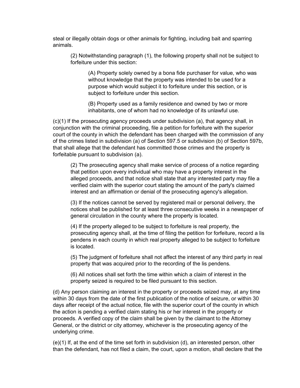steal or illegally obtain dogs or other animals for fighting, including bait and sparring animals.

(2) Notwithstanding paragraph (1), the following property shall not be subject to forfeiture under this section:

(A) Property solely owned by a bona fide purchaser for value, who was without knowledge that the property was intended to be used for a purpose which would subject it to forfeiture under this section, or is subject to forfeiture under this section.

(B) Property used as a family residence and owned by two or more inhabitants, one of whom had no knowledge of its unlawful use.

(c)(1) If the prosecuting agency proceeds under subdivision (a), that agency shall, in conjunction with the criminal proceeding, file a petition for forfeiture with the superior court of the county in which the defendant has been charged with the commission of any of the crimes listed in subdivision (a) of Section 597.5 or subdivision (b) of Section 597b, that shall allege that the defendant has committed those crimes and the property is forfeitable pursuant to subdivision (a).

(2) The prosecuting agency shall make service of process of a notice regarding that petition upon every individual who may have a property interest in the alleged proceeds, and that notice shall state that any interested party may file a verified claim with the superior court stating the amount of the party's claimed interest and an affirmation or denial of the prosecuting agency's allegation.

(3) If the notices cannot be served by registered mail or personal delivery, the notices shall be published for at least three consecutive weeks in a newspaper of general circulation in the county where the property is located.

(4) If the property alleged to be subject to forfeiture is real property, the prosecuting agency shall, at the time of filing the petition for forfeiture, record a lis pendens in each county in which real property alleged to be subject to forfeiture is located.

(5) The judgment of forfeiture shall not affect the interest of any third party in real property that was acquired prior to the recording of the lis pendens.

(6) All notices shall set forth the time within which a claim of interest in the property seized is required to be filed pursuant to this section.

(d) Any person claiming an interest in the property or proceeds seized may, at any time within 30 days from the date of the first publication of the notice of seizure, or within 30 days after receipt of the actual notice, file with the superior court of the county in which the action is pending a verified claim stating his or her interest in the property or proceeds. A verified copy of the claim shall be given by the claimant to the Attorney General, or the district or city attorney, whichever is the prosecuting agency of the underlying crime.

(e)(1) If, at the end of the time set forth in subdivision (d), an interested person, other than the defendant, has not filed a claim, the court, upon a motion, shall declare that the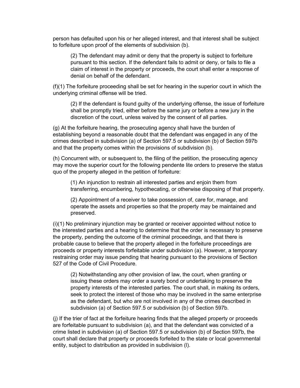person has defaulted upon his or her alleged interest, and that interest shall be subject to forfeiture upon proof of the elements of subdivision (b).

(2) The defendant may admit or deny that the property is subject to forfeiture pursuant to this section. If the defendant fails to admit or deny, or fails to file a claim of interest in the property or proceeds, the court shall enter a response of denial on behalf of the defendant.

(f)(1) The forfeiture proceeding shall be set for hearing in the superior court in which the underlying criminal offense will be tried.

(2) If the defendant is found guilty of the underlying offense, the issue of forfeiture shall be promptly tried, either before the same jury or before a new jury in the discretion of the court, unless waived by the consent of all parties.

(g) At the forfeiture hearing, the prosecuting agency shall have the burden of establishing beyond a reasonable doubt that the defendant was engaged in any of the crimes described in subdivision (a) of Section 597.5 or subdivision (b) of Section 597b and that the property comes within the provisions of subdivision (b).

(h) Concurrent with, or subsequent to, the filing of the petition, the prosecuting agency may move the superior court for the following pendente lite orders to preserve the status quo of the property alleged in the petition of forfeiture:

(1) An injunction to restrain all interested parties and enjoin them from transferring, encumbering, hypothecating, or otherwise disposing of that property.

(2) Appointment of a receiver to take possession of, care for, manage, and operate the assets and properties so that the property may be maintained and preserved.

(i)(1) No preliminary injunction may be granted or receiver appointed without notice to the interested parties and a hearing to determine that the order is necessary to preserve the property, pending the outcome of the criminal proceedings, and that there is probable cause to believe that the property alleged in the forfeiture proceedings are proceeds or property interests forfeitable under subdivision (a). However, a temporary restraining order may issue pending that hearing pursuant to the provisions of Section 527 of the Code of Civil Procedure.

(2) Notwithstanding any other provision of law, the court, when granting or issuing these orders may order a surety bond or undertaking to preserve the property interests of the interested parties. The court shall, in making its orders, seek to protect the interest of those who may be involved in the same enterprise as the defendant, but who are not involved in any of the crimes described in subdivision (a) of Section 597.5 or subdivision (b) of Section 597b.

(j) If the trier of fact at the forfeiture hearing finds that the alleged property or proceeds are forfeitable pursuant to subdivision (a), and that the defendant was convicted of a crime listed in subdivision (a) of Section 597.5 or subdivision (b) of Section 597b, the court shall declare that property or proceeds forfeited to the state or local governmental entity, subject to distribution as provided in subdivision (l).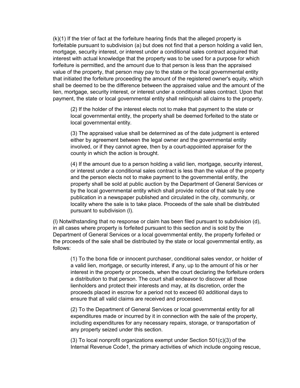(k)(1) If the trier of fact at the forfeiture hearing finds that the alleged property is forfeitable pursuant to subdivision (a) but does not find that a person holding a valid lien, mortgage, security interest, or interest under a conditional sales contract acquired that interest with actual knowledge that the property was to be used for a purpose for which forfeiture is permitted, and the amount due to that person is less than the appraised value of the property, that person may pay to the state or the local governmental entity that initiated the forfeiture proceeding the amount of the registered owner's equity, which shall be deemed to be the difference between the appraised value and the amount of the lien, mortgage, security interest, or interest under a conditional sales contract. Upon that payment, the state or local governmental entity shall relinquish all claims to the property.

(2) If the holder of the interest elects not to make that payment to the state or local governmental entity, the property shall be deemed forfeited to the state or local governmental entity.

(3) The appraised value shall be determined as of the date judgment is entered either by agreement between the legal owner and the governmental entity involved, or if they cannot agree, then by a court-appointed appraiser for the county in which the action is brought.

(4) If the amount due to a person holding a valid lien, mortgage, security interest, or interest under a conditional sales contract is less than the value of the property and the person elects not to make payment to the governmental entity, the property shall be sold at public auction by the Department of General Services or by the local governmental entity which shall provide notice of that sale by one publication in a newspaper published and circulated in the city, community, or locality where the sale is to take place. Proceeds of the sale shall be distributed pursuant to subdivision (l).

(l) Notwithstanding that no response or claim has been filed pursuant to subdivision (d), in all cases where property is forfeited pursuant to this section and is sold by the Department of General Services or a local governmental entity, the property forfeited or the proceeds of the sale shall be distributed by the state or local governmental entity, as follows:

(1) To the bona fide or innocent purchaser, conditional sales vendor, or holder of a valid lien, mortgage, or security interest, if any, up to the amount of his or her interest in the property or proceeds, when the court declaring the forfeiture orders a distribution to that person. The court shall endeavor to discover all those lienholders and protect their interests and may, at its discretion, order the proceeds placed in escrow for a period not to exceed 60 additional days to ensure that all valid claims are received and processed.

(2) To the Department of General Services or local governmental entity for all expenditures made or incurred by it in connection with the sale of the property, including expenditures for any necessary repairs, storage, or transportation of any property seized under this section.

(3) To local nonprofit organizations exempt under Section 501(c)(3) of the Internal Revenue Code1, the primary activities of which include ongoing rescue,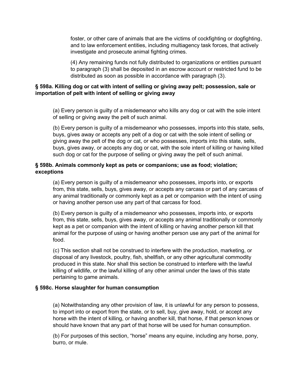foster, or other care of animals that are the victims of cockfighting or dogfighting, and to law enforcement entities, including multiagency task forces, that actively investigate and prosecute animal fighting crimes.

(4) Any remaining funds not fully distributed to organizations or entities pursuant to paragraph (3) shall be deposited in an escrow account or restricted fund to be distributed as soon as possible in accordance with paragraph (3).

# **§ 598a. Killing dog or cat with intent of selling or giving away pelt; possession, sale or importation of pelt with intent of selling or giving away**

(a) Every person is guilty of a misdemeanor who kills any dog or cat with the sole intent of selling or giving away the pelt of such animal.

(b) Every person is guilty of a misdemeanor who possesses, imports into this state, sells, buys, gives away or accepts any pelt of a dog or cat with the sole intent of selling or giving away the pelt of the dog or cat, or who possesses, imports into this state, sells, buys, gives away, or accepts any dog or cat, with the sole intent of killing or having killed such dog or cat for the purpose of selling or giving away the pelt of such animal.

# **§ 598b. Animals commonly kept as pets or companions; use as food; violation; exceptions**

(a) Every person is guilty of a misdemeanor who possesses, imports into, or exports from, this state, sells, buys, gives away, or accepts any carcass or part of any carcass of any animal traditionally or commonly kept as a pet or companion with the intent of using or having another person use any part of that carcass for food.

(b) Every person is guilty of a misdemeanor who possesses, imports into, or exports from, this state, sells, buys, gives away, or accepts any animal traditionally or commonly kept as a pet or companion with the intent of killing or having another person kill that animal for the purpose of using or having another person use any part of the animal for food.

(c) This section shall not be construed to interfere with the production, marketing, or disposal of any livestock, poultry, fish, shellfish, or any other agricultural commodity produced in this state. Nor shall this section be construed to interfere with the lawful killing of wildlife, or the lawful killing of any other animal under the laws of this state pertaining to game animals.

# **§ 598c. Horse slaughter for human consumption**

(a) Notwithstanding any other provision of law, it is unlawful for any person to possess, to import into or export from the state, or to sell, buy, give away, hold, or accept any horse with the intent of killing, or having another kill, that horse, if that person knows or should have known that any part of that horse will be used for human consumption.

(b) For purposes of this section, "horse" means any equine, including any horse, pony, burro, or mule.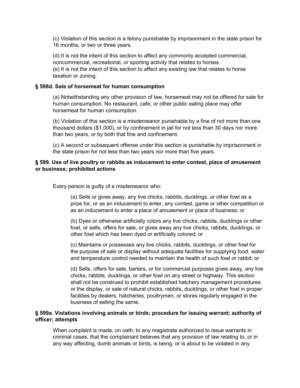(c) Violation of this section is a felony punishable by imprisonment in the state prison for 16 months, or two or three years.

(d) It is not the intent of this section to affect any commonly accepted commercial, noncommercial, recreational, or sporting activity that relates to horses. (e) It is not the intent of this section to affect any existing law that relates to horse taxation or zoning.

# **§ 598d. Sale of horsemeat for human consumption**

(a) Notwithstanding any other provision of law, horsemeat may not be offered for sale for human consumption. No restaurant, cafe, or other public eating place may offer horsemeat for human consumption.

(b) Violation of this section is a misdemeanor punishable by a fine of not more than one thousand dollars (\$1,000), or by confinement in jail for not less than 30 days nor more than two years, or by both that fine and confinement.

(c) A second or subsequent offense under this section is punishable by imprisonment in the state prison for not less than two years nor more than five years.

### **§ 599. Use of live poultry or rabbits as inducement to enter contest, place of amusement or business; prohibited actions**

Every person is guilty of a misdemeanor who:

(a) Sells or gives away, any live chicks, rabbits, ducklings, or other fowl as a prize for, or as an inducement to enter, any contest, game or other competition or as an inducement to enter a place of amusement or place of business; or

(b) Dyes or otherwise artificially colors any live chicks, rabbits, ducklings or other fowl, or sells, offers for sale, or gives away any live chicks, rabbits, ducklings, or other fowl which has been dyed or artificially colored; or

(c) Maintains or possesses any live chicks, rabbits, ducklings, or other fowl for the purpose of sale or display without adequate facilities for supplying food, water and temperature control needed to maintain the health of such fowl or rabbit; or

(d) Sells, offers for sale, barters, or for commercial purposes gives away, any live chicks, rabbits, ducklings, or other fowl on any street or highway. This section shall not be construed to prohibit established hatchery management procedures or the display, or sale of natural chicks, rabbits, ducklings, or other fowl in proper facilities by dealers, hatcheries, poultrymen, or stores regularly engaged in the business of selling the same.

# **§ 599a. Violations involving animals or birds; procedure for issuing warrant; authority of officer; attempts**

When complaint is made, on oath, to any magistrate authorized to issue warrants in criminal cases, that the complainant believes that any provision of law relating to, or in any way affecting, dumb animals or birds, is being, or is about to be violated in any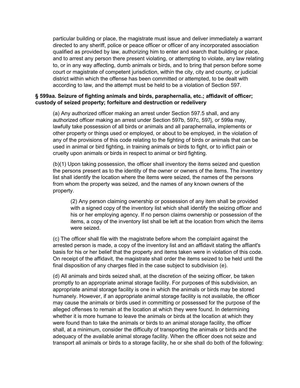particular building or place, the magistrate must issue and deliver immediately a warrant directed to any sheriff, police or peace officer or officer of any incorporated association qualified as provided by law, authorizing him to enter and search that building or place, and to arrest any person there present violating, or attempting to violate, any law relating to, or in any way affecting, dumb animals or birds, and to bring that person before some court or magistrate of competent jurisdiction, within the city, city and county, or judicial district within which the offense has been committed or attempted, to be dealt with according to law, and the attempt must be held to be a violation of Section 597.

# **§ 599aa. Seizure of fighting animals and birds, paraphernalia, etc.; affidavit of officer; custody of seized property; forfeiture and destruction or redelivery**

(a) Any authorized officer making an arrest under Section 597.5 shall, and any authorized officer making an arrest under Section 597b, 597c, 597j, or 599a may, lawfully take possession of all birds or animals and all paraphernalia, implements or other property or things used or employed, or about to be employed, in the violation of any of the provisions of this code relating to the fighting of birds or animals that can be used in animal or bird fighting, in training animals or birds to fight, or to inflict pain or cruelty upon animals or birds in respect to animal or bird fighting.

(b)(1) Upon taking possession, the officer shall inventory the items seized and question the persons present as to the identity of the owner or owners of the items. The inventory list shall identify the location where the items were seized, the names of the persons from whom the property was seized, and the names of any known owners of the property.

(2) Any person claiming ownership or possession of any item shall be provided with a signed copy of the inventory list which shall identify the seizing officer and his or her employing agency. If no person claims ownership or possession of the items, a copy of the inventory list shall be left at the location from which the items were seized.

(c) The officer shall file with the magistrate before whom the complaint against the arrested person is made, a copy of the inventory list and an affidavit stating the affiant's basis for his or her belief that the property and items taken were in violation of this code. On receipt of the affidavit, the magistrate shall order the items seized to be held until the final disposition of any charges filed in the case subject to subdivision (e).

(d) All animals and birds seized shall, at the discretion of the seizing officer, be taken promptly to an appropriate animal storage facility. For purposes of this subdivision, an appropriate animal storage facility is one in which the animals or birds may be stored humanely. However, if an appropriate animal storage facility is not available, the officer may cause the animals or birds used in committing or possessed for the purpose of the alleged offenses to remain at the location at which they were found. In determining whether it is more humane to leave the animals or birds at the location at which they were found than to take the animals or birds to an animal storage facility, the officer shall, at a minimum, consider the difficulty of transporting the animals or birds and the adequacy of the available animal storage facility. When the officer does not seize and transport all animals or birds to a storage facility, he or she shall do both of the following: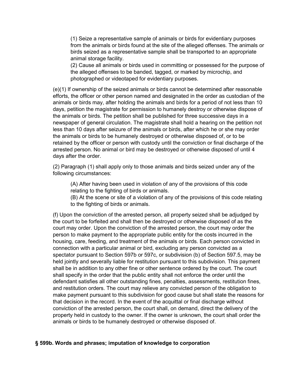(1) Seize a representative sample of animals or birds for evidentiary purposes from the animals or birds found at the site of the alleged offenses. The animals or birds seized as a representative sample shall be transported to an appropriate animal storage facility.

(2) Cause all animals or birds used in committing or possessed for the purpose of the alleged offenses to be banded, tagged, or marked by microchip, and photographed or videotaped for evidentiary purposes.

(e)(1) If ownership of the seized animals or birds cannot be determined after reasonable efforts, the officer or other person named and designated in the order as custodian of the animals or birds may, after holding the animals and birds for a period of not less than 10 days, petition the magistrate for permission to humanely destroy or otherwise dispose of the animals or birds. The petition shall be published for three successive days in a newspaper of general circulation. The magistrate shall hold a hearing on the petition not less than 10 days after seizure of the animals or birds, after which he or she may order the animals or birds to be humanely destroyed or otherwise disposed of, or to be retained by the officer or person with custody until the conviction or final discharge of the arrested person. No animal or bird may be destroyed or otherwise disposed of until 4 days after the order.

(2) Paragraph (1) shall apply only to those animals and birds seized under any of the following circumstances:

(A) After having been used in violation of any of the provisions of this code relating to the fighting of birds or animals.

(B) At the scene or site of a violation of any of the provisions of this code relating to the fighting of birds or animals.

(f) Upon the conviction of the arrested person, all property seized shall be adjudged by the court to be forfeited and shall then be destroyed or otherwise disposed of as the court may order. Upon the conviction of the arrested person, the court may order the person to make payment to the appropriate public entity for the costs incurred in the housing, care, feeding, and treatment of the animals or birds. Each person convicted in connection with a particular animal or bird, excluding any person convicted as a spectator pursuant to Section 597b or 597c, or subdivision (b) of Section 597.5, may be held jointly and severally liable for restitution pursuant to this subdivision. This payment shall be in addition to any other fine or other sentence ordered by the court. The court shall specify in the order that the public entity shall not enforce the order until the defendant satisfies all other outstanding fines, penalties, assessments, restitution fines, and restitution orders. The court may relieve any convicted person of the obligation to make payment pursuant to this subdivision for good cause but shall state the reasons for that decision in the record. In the event of the acquittal or final discharge without conviction of the arrested person, the court shall, on demand, direct the delivery of the property held in custody to the owner. If the owner is unknown, the court shall order the animals or birds to be humanely destroyed or otherwise disposed of.

#### **§ 599b. Words and phrases; imputation of knowledge to corporation**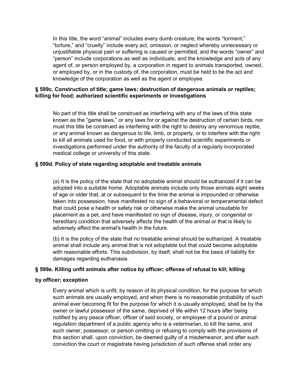In this title, the word "animal" includes every dumb creature; the words "torment," "torture," and "cruelty" include every act, omission, or neglect whereby unnecessary or unjustifiable physical pain or suffering is caused or permitted; and the words "owner" and "person" include corporations as well as individuals; and the knowledge and acts of any agent of, or person employed by, a corporation in regard to animals transported, owned, or employed by, or in the custody of, the corporation, must be held to be the act and knowledge of the corporation as well as the agent or employee.

# **§ 599c. Construction of title; game laws; destruction of dangerous animals or reptiles; killing for food; authorized scientific experiments or investigations**

No part of this title shall be construed as interfering with any of the laws of this state known as the "game laws," or any laws for or against the destruction of certain birds, nor must this title be construed as interfering with the right to destroy any venomous reptile, or any animal known as dangerous to life, limb, or property, or to interfere with the right to kill all animals used for food, or with properly conducted scientific experiments or investigations performed under the authority of the faculty of a regularly incorporated medical college or university of this state.

#### **§ 599d. Policy of state regarding adoptable and treatable animals**

(a) It is the policy of the state that no adoptable animal should be euthanized if it can be adopted into a suitable home. Adoptable animals include only those animals eight weeks of age or older that, at or subsequent to the time the animal is impounded or otherwise taken into possession, have manifested no sign of a behavioral or temperamental defect that could pose a health or safety risk or otherwise make the animal unsuitable for placement as a pet, and have manifested no sign of disease, injury, or congenital or hereditary condition that adversely affects the health of the animal or that is likely to adversely affect the animal's health in the future.

(b) It is the policy of the state that no treatable animal should be euthanized. A treatable animal shall include any animal that is not adoptable but that could become adoptable with reasonable efforts. This subdivision, by itself, shall not be the basis of liability for damages regarding euthanasia.

#### **§ 599e. Killing unfit animals after notice by officer; offense of refusal to kill; killing**

#### **by officer; exception**

Every animal which is unfit, by reason of its physical condition, for the purpose for which such animals are usually employed, and when there is no reasonable probability of such animal ever becoming fit for the purpose for which it is usually employed, shall be by the owner or lawful possessor of the same, deprived of life within 12 hours after being notified by any peace officer, officer of said society, or employee of a pound or animal regulation department of a public agency who is a veterinarian, to kill the same, and such owner, possessor, or person omitting or refusing to comply with the provisions of this section shall, upon conviction, be deemed guilty of a misdemeanor, and after such conviction the court or magistrate having jurisdiction of such offense shall order any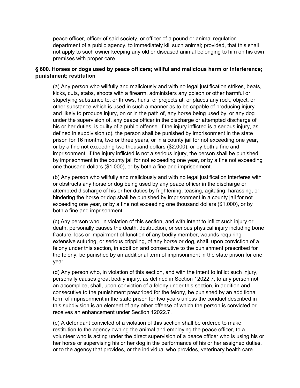peace officer, officer of said society, or officer of a pound or animal regulation department of a public agency, to immediately kill such animal; provided, that this shall not apply to such owner keeping any old or diseased animal belonging to him on his own premises with proper care.

# **§ 600. Horses or dogs used by peace officers; willful and malicious harm or interference; punishment; restitution**

(a) Any person who willfully and maliciously and with no legal justification strikes, beats, kicks, cuts, stabs, shoots with a firearm, administers any poison or other harmful or stupefying substance to, or throws, hurls, or projects at, or places any rock, object, or other substance which is used in such a manner as to be capable of producing injury and likely to produce injury, on or in the path of, any horse being used by, or any dog under the supervision of, any peace officer in the discharge or attempted discharge of his or her duties, is guilty of a public offense. If the injury inflicted is a serious injury, as defined in subdivision (c), the person shall be punished by imprisonment in the state prison for 16 months, two or three years, or in a county jail for not exceeding one year, or by a fine not exceeding two thousand dollars (\$2,000), or by both a fine and imprisonment. If the injury inflicted is not a serious injury, the person shall be punished by imprisonment in the county jail for not exceeding one year, or by a fine not exceeding one thousand dollars (\$1,000), or by both a fine and imprisonment.

(b) Any person who willfully and maliciously and with no legal justification interferes with or obstructs any horse or dog being used by any peace officer in the discharge or attempted discharge of his or her duties by frightening, teasing, agitating, harassing, or hindering the horse or dog shall be punished by imprisonment in a county jail for not exceeding one year, or by a fine not exceeding one thousand dollars (\$1,000), or by both a fine and imprisonment.

(c) Any person who, in violation of this section, and with intent to inflict such injury or death, personally causes the death, destruction, or serious physical injury including bone fracture, loss or impairment of function of any bodily member, wounds requiring extensive suturing, or serious crippling, of any horse or dog, shall, upon conviction of a felony under this section, in addition and consecutive to the punishment prescribed for the felony, be punished by an additional term of imprisonment in the state prison for one year.

(d) Any person who, in violation of this section, and with the intent to inflict such injury, personally causes great bodily injury, as defined in Section 12022.7, to any person not an accomplice, shall, upon conviction of a felony under this section, in addition and consecutive to the punishment prescribed for the felony, be punished by an additional term of imprisonment in the state prison for two years unless the conduct described in this subdivision is an element of any other offense of which the person is convicted or receives an enhancement under Section 12022.7.

(e) A defendant convicted of a violation of this section shall be ordered to make restitution to the agency owning the animal and employing the peace officer, to a volunteer who is acting under the direct supervision of a peace officer who is using his or her horse or supervising his or her dog in the performance of his or her assigned duties, or to the agency that provides, or the individual who provides, veterinary health care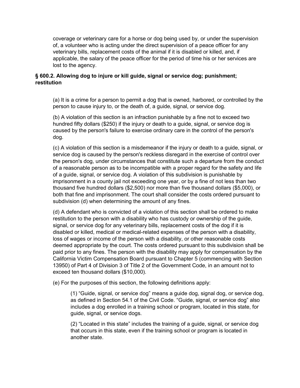coverage or veterinary care for a horse or dog being used by, or under the supervision of, a volunteer who is acting under the direct supervision of a peace officer for any veterinary bills, replacement costs of the animal if it is disabled or killed, and, if applicable, the salary of the peace officer for the period of time his or her services are lost to the agency.

# **§ 600.2. Allowing dog to injure or kill guide, signal or service dog; punishment; restitution**

(a) It is a crime for a person to permit a dog that is owned, harbored, or controlled by the person to cause injury to, or the death of, a guide, signal, or service dog.

(b) A violation of this section is an infraction punishable by a fine not to exceed two hundred fifty dollars (\$250) if the injury or death to a guide, signal, or service dog is caused by the person's failure to exercise ordinary care in the control of the person's dog.

(c) A violation of this section is a misdemeanor if the injury or death to a guide, signal, or service dog is caused by the person's reckless disregard in the exercise of control over the person's dog, under circumstances that constitute such a departure from the conduct of a reasonable person as to be incompatible with a proper regard for the safety and life of a guide, signal, or service dog. A violation of this subdivision is punishable by imprisonment in a county jail not exceeding one year, or by a fine of not less than two thousand five hundred dollars (\$2,500) nor more than five thousand dollars (\$5,000), or both that fine and imprisonment. The court shall consider the costs ordered pursuant to subdivision (d) when determining the amount of any fines.

(d) A defendant who is convicted of a violation of this section shall be ordered to make restitution to the person with a disability who has custody or ownership of the guide, signal, or service dog for any veterinary bills, replacement costs of the dog if it is disabled or killed, medical or medical-related expenses of the person with a disability, loss of wages or income of the person with a disability, or other reasonable costs deemed appropriate by the court. The costs ordered pursuant to this subdivision shall be paid prior to any fines. The person with the disability may apply for compensation by the California Victim Compensation Board pursuant to Chapter 5 (commencing with Section 13950) of Part 4 of Division 3 of Title 2 of the Government Code, in an amount not to exceed ten thousand dollars (\$10,000).

(e) For the purposes of this section, the following definitions apply:

(1) "Guide, signal, or service dog" means a guide dog, signal dog, or service dog, as defined in Section 54.1 of the Civil Code. "Guide, signal, or service dog" also includes a dog enrolled in a training school or program, located in this state, for guide, signal, or service dogs.

(2) "Located in this state" includes the training of a guide, signal, or service dog that occurs in this state, even if the training school or program is located in another state.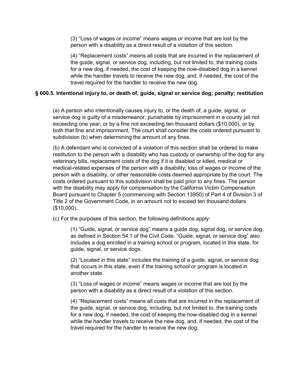(3) "Loss of wages or income" means wages or income that are lost by the person with a disability as a direct result of a violation of this section.

(4) "Replacement costs" means all costs that are incurred in the replacement of the guide, signal, or service dog, including, but not limited to, the training costs for a new dog, if needed, the cost of keeping the now-disabled dog in a kennel while the handler travels to receive the new dog, and, if needed, the cost of the travel required for the handler to receive the new dog.

# **§ 600.5. Intentional injury to, or death of, guide, signal or service dog; penalty; restitution**

(a) A person who intentionally causes injury to, or the death of, a guide, signal, or service dog is guilty of a misdemeanor, punishable by imprisonment in a county jail not exceeding one year, or by a fine not exceeding ten thousand dollars (\$10,000), or by both that fine and imprisonment. The court shall consider the costs ordered pursuant to subdivision (b) when determining the amount of any fines.

(b) A defendant who is convicted of a violation of this section shall be ordered to make restitution to the person with a disability who has custody or ownership of the dog for any veterinary bills, replacement costs of the dog if it is disabled or killed, medical or medical-related expenses of the person with a disability, loss of wages or income of the person with a disability, or other reasonable costs deemed appropriate by the court. The costs ordered pursuant to this subdivision shall be paid prior to any fines. The person with the disability may apply for compensation by the California Victim Compensation Board pursuant to Chapter 5 (commencing with Section 13950) of Part 4 of Division 3 of Title 2 of the Government Code, in an amount not to exceed ten thousand dollars (\$10,000).

(c) For the purposes of this section, the following definitions apply:

(1) "Guide, signal, or service dog" means a guide dog, signal dog, or service dog, as defined in Section 54.1 of the Civil Code. "Guide, signal, or service dog" also includes a dog enrolled in a training school or program, located in this state, for guide, signal, or service dogs.

(2) "Located in this state" includes the training of a guide, signal, or service dog that occurs in this state, even if the training school or program is located in another state.

(3) "Loss of wages or income" means wages or income that are lost by the person with a disability as a direct result of a violation of this section.

(4) "Replacement costs" means all costs that are incurred in the replacement of the guide, signal, or service dog, including, but not limited to, the training costs for a new dog, if needed, the cost of keeping the now-disabled dog in a kennel while the handler travels to receive the new dog, and, if needed, the cost of the travel required for the handler to receive the new dog.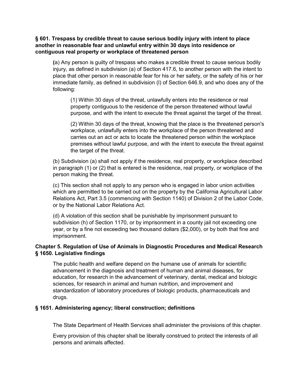# **§ 601. Trespass by credible threat to cause serious bodily injury with intent to place another in reasonable fear and unlawful entry within 30 days into residence or contiguous real property or workplace of threatened person**

**(**a) Any person is guilty of trespass who makes a credible threat to cause serious bodily injury, as defined in subdivision (a) of Section 417.6, to another person with the intent to place that other person in reasonable fear for his or her safety, or the safety of his or her immediate family, as defined in subdivision (l) of Section 646.9, and who does any of the following:

(1) Within 30 days of the threat, unlawfully enters into the residence or real property contiguous to the residence of the person threatened without lawful purpose, and with the intent to execute the threat against the target of the threat.

(2) Within 30 days of the threat, knowing that the place is the threatened person's workplace, unlawfully enters into the workplace of the person threatened and carries out an act or acts to locate the threatened person within the workplace premises without lawful purpose, and with the intent to execute the threat against the target of the threat.

(b) Subdivision (a) shall not apply if the residence, real property, or workplace described in paragraph (1) or (2) that is entered is the residence, real property, or workplace of the person making the threat.

(c) This section shall not apply to any person who is engaged in labor union activities which are permitted to be carried out on the property by the California Agricultural Labor Relations Act, Part 3.5 (commencing with Section 1140) of Division 2 of the Labor Code, or by the National Labor Relations Act.

(d) A violation of this section shall be punishable by imprisonment pursuant to subdivision (h) of Section 1170, or by imprisonment in a county jail not exceeding one year, or by a fine not exceeding two thousand dollars (\$2,000), or by both that fine and imprisonment.

# **Chapter 5. Regulation of Use of Animals in Diagnostic Procedures and Medical Research § 1650. Legislative findings**

The public health and welfare depend on the humane use of animals for scientific advancement in the diagnosis and treatment of human and animal diseases, for education, for research in the advancement of veterinary, dental, medical and biologic sciences, for research in animal and human nutrition, and improvement and standardization of laboratory procedures of biologic products, pharmaceuticals and drugs.

# **§ 1651. Administering agency; liberal construction; definitions**

The State Department of Health Services shall administer the provisions of this chapter.

Every provision of this chapter shall be liberally construed to protect the interests of all persons and animals affected.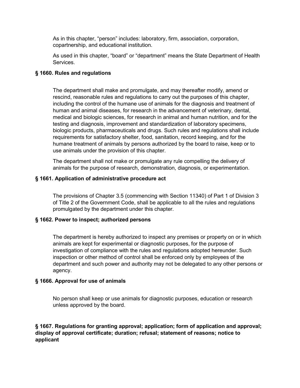As in this chapter, "person" includes: laboratory, firm, association, corporation, copartnership, and educational institution.

As used in this chapter, "board" or "department" means the State Department of Health Services.

#### **§ 1660. Rules and regulations**

The department shall make and promulgate, and may thereafter modify, amend or rescind, reasonable rules and regulations to carry out the purposes of this chapter, including the control of the humane use of animals for the diagnosis and treatment of human and animal diseases, for research in the advancement of veterinary, dental, medical and biologic sciences, for research in animal and human nutrition, and for the testing and diagnosis, improvement and standardization of laboratory specimens, biologic products, pharmaceuticals and drugs. Such rules and regulations shall include requirements for satisfactory shelter, food, sanitation, record keeping, and for the humane treatment of animals by persons authorized by the board to raise, keep or to use animals under the provision of this chapter.

The department shall not make or promulgate any rule compelling the delivery of animals for the purpose of research, demonstration, diagnosis, or experimentation.

#### **§ 1661. Application of administrative procedure act**

The provisions of Chapter 3.5 (commencing with Section 11340) of Part 1 of Division 3 of Title 2 of the Government Code, shall be applicable to all the rules and regulations promulgated by the department under this chapter.

#### **§ 1662. Power to inspect; authorized persons**

The department is hereby authorized to inspect any premises or property on or in which animals are kept for experimental or diagnostic purposes, for the purpose of investigation of compliance with the rules and regulations adopted hereunder. Such inspection or other method of control shall be enforced only by employees of the department and such power and authority may not be delegated to any other persons or agency.

#### **§ 1666. Approval for use of animals**

No person shall keep or use animals for diagnostic purposes, education or research unless approved by the board.

**§ 1667. Regulations for granting approval; application; form of application and approval; display of approval certificate; duration; refusal; statement of reasons; notice to applicant**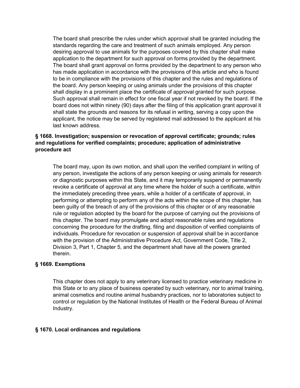The board shall prescribe the rules under which approval shall be granted including the standards regarding the care and treatment of such animals employed. Any person desiring approval to use animals for the purposes covered by this chapter shall make application to the department for such approval on forms provided by the department. The board shall grant approval on forms provided by the department to any person who has made application in accordance with the provisions of this article and who is found to be in compliance with the provisions of this chapter and the rules and regulations of the board. Any person keeping or using animals under the provisions of this chapter shall display in a prominent place the certificate of approval granted for such purpose. Such approval shall remain in effect for one fiscal year if not revoked by the board. If the board does not within ninety (90) days after the filing of this application grant approval it shall state the grounds and reasons for its refusal in writing, serving a copy upon the applicant, the notice may be served by registered mail addressed to the applicant at his last known address.

# **§ 1668. Investigation; suspension or revocation of approval certificate; grounds; rules and regulations for verified complaints; procedure; application of administrative procedure act**

The board may, upon its own motion, and shall upon the verified complaint in writing of any person, investigate the actions of any person keeping or using animals for research or diagnostic purposes within this State, and it may temporarily suspend or permanently revoke a certificate of approval at any time where the holder of such a certificate, within the immediately preceding three years, while a holder of a certificate of approval, in performing or attempting to perform any of the acts within the scope of this chapter, has been guilty of the breach of any of the provisions of this chapter or of any reasonable rule or regulation adopted by the board for the purpose of carrying out the provisions of this chapter. The board may promulgate and adopt reasonable rules and regulations concerning the procedure for the drafting, filing and disposition of verified complaints of individuals. Procedure for revocation or suspension of approval shall be in accordance with the provision of the Administrative Procedure Act, Government Code, Title 2, Division 3, Part 1, Chapter 5, and the department shall have all the powers granted therein.

# **§ 1669. Exemptions**

This chapter does not apply to any veterinary licensed to practice veterinary medicine in this State or to any place of business operated by such veterinary, nor to animal training, animal cosmetics and routine animal husbandry practices, nor to laboratories subject to control or regulation by the National Institutes of Health or the Federal Bureau of Animal Industry.

#### **§ 1670. Local ordinances and regulations**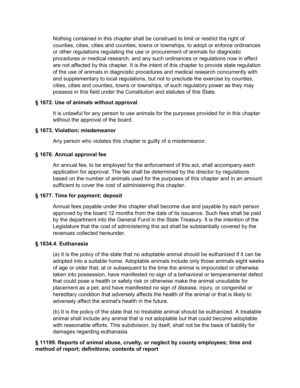Nothing contained in this chapter shall be construed to limit or restrict the right of counties, cities, cities and counties, towns or townships, to adopt or enforce ordinances or other regulations regulating the use or procurement of animals for diagnostic procedures or medical research, and any such ordinances or regulations now in effect are not affected by this chapter. It is the intent of this chapter to provide state regulation of the use of animals in diagnostic procedures and medical research concurrently with and supplementary to local regulations, but not to preclude the exercise by counties, cities, cities and counties, towns or townships, of such regulatory power as they may possess in this field under the Constitution and statutes of this State.

# **§ 1672. Use of animals without approval**

It is unlawful for any person to use animals for the purposes provided for in this chapter without the approval of the board.

#### **§ 1673. Violation; misdemeanor**

Any person who violates this chapter is guilty of a misdemeanor.

#### **§ 1676. Annual approval fee**

An annual fee, to be employed for the enforcement of this act, shall accompany each application for approval. The fee shall be determined by the director by regulations based on the number of animals used for the purposes of this chapter and in an amount sufficient to cover the cost of administering this chapter.

# **§ 1677. Time for payment; deposit**

Annual fees payable under this chapter shall become due and payable by each person approved by the board 12 months from the date of its issuance. Such fees shall be paid by the department into the General Fund in the State Treasury. It is the intention of the Legislature that the cost of administering this act shall be substantially covered by the revenues collected hereunder.

#### **§ 1834.4. Euthanasia**

(a) It is the policy of the state that no adoptable animal should be euthanized if it can be adopted into a suitable home. Adoptable animals include only those animals eight weeks of age or older that, at or subsequent to the time the animal is impounded or otherwise taken into possession, have manifested no sign of a behavioral or temperamental defect that could pose a health or safety risk or otherwise make the animal unsuitable for placement as a pet, and have manifested no sign of disease, injury, or congenital or hereditary condition that adversely affects the health of the animal or that is likely to adversely affect the animal's health in the future.

(b) It is the policy of the state that no treatable animal should be euthanized. A treatable animal shall include any animal that is not adoptable but that could become adoptable with reasonable efforts. This subdivision, by itself, shall not be the basis of liability for damages regarding euthanasia.

# **§ 11199. Reports of animal abuse, cruelty, or neglect by county employees; time and method of report; definitions; contents of report**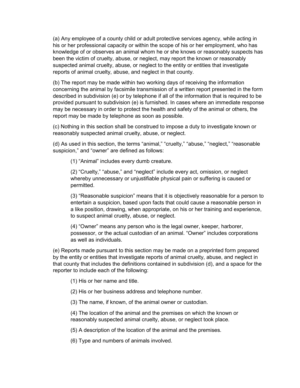(a) Any employee of a county child or adult protective services agency, while acting in his or her professional capacity or within the scope of his or her employment, who has knowledge of or observes an animal whom he or she knows or reasonably suspects has been the victim of cruelty, abuse, or neglect, may report the known or reasonably suspected animal cruelty, abuse, or neglect to the entity or entities that investigate reports of animal cruelty, abuse, and neglect in that county.

(b) The report may be made within two working days of receiving the information concerning the animal by facsimile transmission of a written report presented in the form described in subdivision (e) or by telephone if all of the information that is required to be provided pursuant to subdivision (e) is furnished. In cases where an immediate response may be necessary in order to protect the health and safety of the animal or others, the report may be made by telephone as soon as possible.

(c) Nothing in this section shall be construed to impose a duty to investigate known or reasonably suspected animal cruelty, abuse, or neglect.

(d) As used in this section, the terms "animal," "cruelty," "abuse," "neglect," "reasonable suspicion," and "owner" are defined as follows:

(1) "Animal" includes every dumb creature.

(2) "Cruelty," "abuse," and "neglect" include every act, omission, or neglect whereby unnecessary or unjustifiable physical pain or suffering is caused or permitted.

(3) "Reasonable suspicion" means that it is objectively reasonable for a person to entertain a suspicion, based upon facts that could cause a reasonable person in a like position, drawing, when appropriate, on his or her training and experience, to suspect animal cruelty, abuse, or neglect.

(4) "Owner" means any person who is the legal owner, keeper, harborer, possessor, or the actual custodian of an animal. "Owner" includes corporations as well as individuals.

(e) Reports made pursuant to this section may be made on a preprinted form prepared by the entity or entities that investigate reports of animal cruelty, abuse, and neglect in that county that includes the definitions contained in subdivision (d), and a space for the reporter to include each of the following:

(1) His or her name and title.

(2) His or her business address and telephone number.

(3) The name, if known, of the animal owner or custodian.

(4) The location of the animal and the premises on which the known or reasonably suspected animal cruelty, abuse, or neglect took place.

(5) A description of the location of the animal and the premises.

(6) Type and numbers of animals involved.